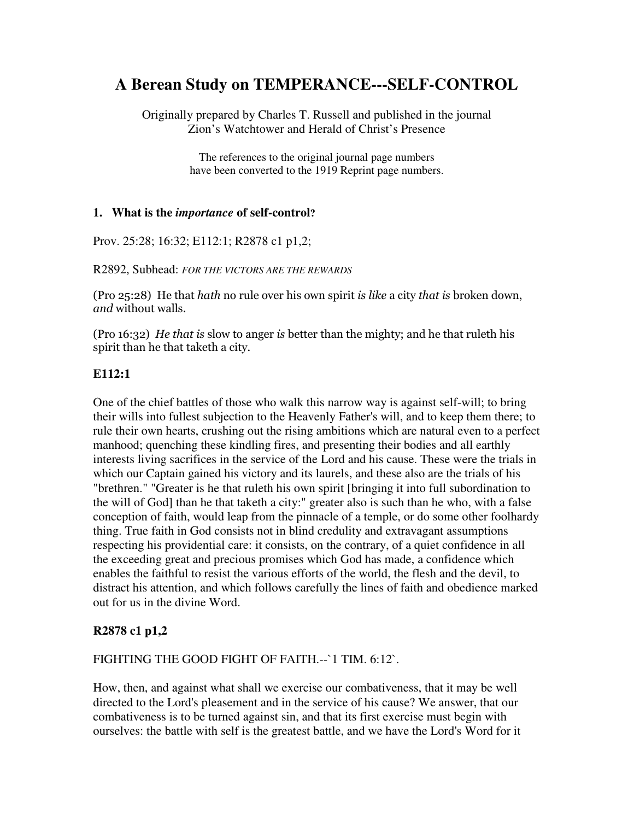# **A Berean Study on TEMPERANCE---SELF-CONTROL**

Originally prepared by Charles T. Russell and published in the journal Zion's Watchtower and Herald of Christ's Presence

> The references to the original journal page numbers have been converted to the 1919 Reprint page numbers.

#### **1. What is the** *importance* **of self-control?**

Prov. 25:28; 16:32; E112:1; R2878 c1 p1,2;

R2892, Subhead: *FOR THE VICTORS ARE THE REWARDS*

(Pro 25:28) He that *hath* no rule over his own spirit *is like* a city *that is* broken down, *and* without walls.

(Pro 16:32) He that is slow to anger is better than the mighty; and he that ruleth his spirit than he that taketh a city.

### **E112:1**

One of the chief battles of those who walk this narrow way is against self-will; to bring their wills into fullest subjection to the Heavenly Father's will, and to keep them there; to rule their own hearts, crushing out the rising ambitions which are natural even to a perfect manhood; quenching these kindling fires, and presenting their bodies and all earthly interests living sacrifices in the service of the Lord and his cause. These were the trials in which our Captain gained his victory and its laurels, and these also are the trials of his "brethren." "Greater is he that ruleth his own spirit [bringing it into full subordination to the will of God] than he that taketh a city:" greater also is such than he who, with a false conception of faith, would leap from the pinnacle of a temple, or do some other foolhardy thing. True faith in God consists not in blind credulity and extravagant assumptions respecting his providential care: it consists, on the contrary, of a quiet confidence in all the exceeding great and precious promises which God has made, a confidence which enables the faithful to resist the various efforts of the world, the flesh and the devil, to distract his attention, and which follows carefully the lines of faith and obedience marked out for us in the divine Word.

## **R2878 c1 p1,2**

#### FIGHTING THE GOOD FIGHT OF FAITH.--`1 TIM. 6:12`.

How, then, and against what shall we exercise our combativeness, that it may be well directed to the Lord's pleasement and in the service of his cause? We answer, that our combativeness is to be turned against sin, and that its first exercise must begin with ourselves: the battle with self is the greatest battle, and we have the Lord's Word for it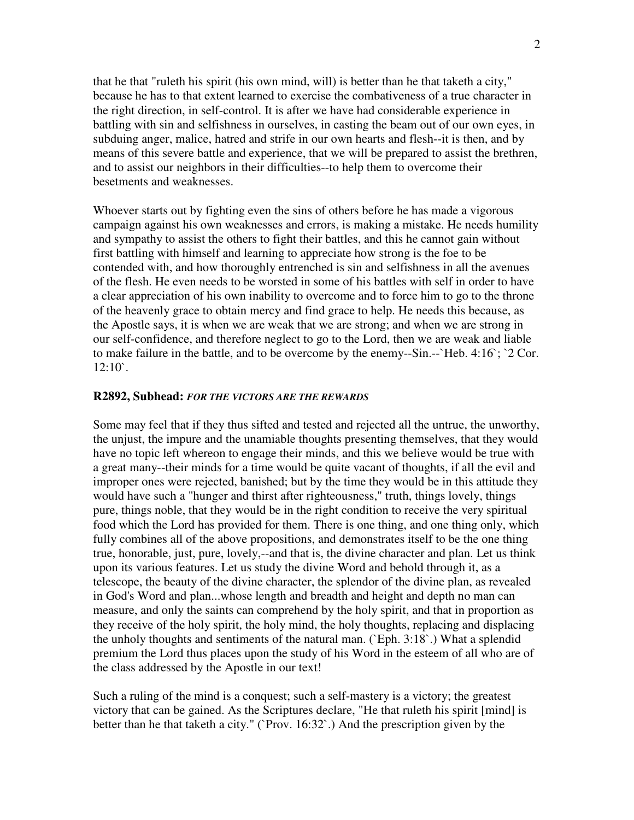that he that "ruleth his spirit (his own mind, will) is better than he that taketh a city," because he has to that extent learned to exercise the combativeness of a true character in the right direction, in self-control. It is after we have had considerable experience in battling with sin and selfishness in ourselves, in casting the beam out of our own eyes, in subduing anger, malice, hatred and strife in our own hearts and flesh--it is then, and by means of this severe battle and experience, that we will be prepared to assist the brethren, and to assist our neighbors in their difficulties--to help them to overcome their besetments and weaknesses.

Whoever starts out by fighting even the sins of others before he has made a vigorous campaign against his own weaknesses and errors, is making a mistake. He needs humility and sympathy to assist the others to fight their battles, and this he cannot gain without first battling with himself and learning to appreciate how strong is the foe to be contended with, and how thoroughly entrenched is sin and selfishness in all the avenues of the flesh. He even needs to be worsted in some of his battles with self in order to have a clear appreciation of his own inability to overcome and to force him to go to the throne of the heavenly grace to obtain mercy and find grace to help. He needs this because, as the Apostle says, it is when we are weak that we are strong; and when we are strong in our self-confidence, and therefore neglect to go to the Lord, then we are weak and liable to make failure in the battle, and to be overcome by the enemy--Sin.--`Heb. 4:16`; `2 Cor.  $12:10$ `.

#### **R2892, Subhead:** *FOR THE VICTORS ARE THE REWARDS*

Some may feel that if they thus sifted and tested and rejected all the untrue, the unworthy, the unjust, the impure and the unamiable thoughts presenting themselves, that they would have no topic left whereon to engage their minds, and this we believe would be true with a great many--their minds for a time would be quite vacant of thoughts, if all the evil and improper ones were rejected, banished; but by the time they would be in this attitude they would have such a "hunger and thirst after righteousness," truth, things lovely, things pure, things noble, that they would be in the right condition to receive the very spiritual food which the Lord has provided for them. There is one thing, and one thing only, which fully combines all of the above propositions, and demonstrates itself to be the one thing true, honorable, just, pure, lovely,--and that is, the divine character and plan. Let us think upon its various features. Let us study the divine Word and behold through it, as a telescope, the beauty of the divine character, the splendor of the divine plan, as revealed in God's Word and plan...whose length and breadth and height and depth no man can measure, and only the saints can comprehend by the holy spirit, and that in proportion as they receive of the holy spirit, the holy mind, the holy thoughts, replacing and displacing the unholy thoughts and sentiments of the natural man. (`Eph. 3:18`.) What a splendid premium the Lord thus places upon the study of his Word in the esteem of all who are of the class addressed by the Apostle in our text!

Such a ruling of the mind is a conquest; such a self-mastery is a victory; the greatest victory that can be gained. As the Scriptures declare, "He that ruleth his spirit [mind] is better than he that taketh a city." (`Prov. 16:32`.) And the prescription given by the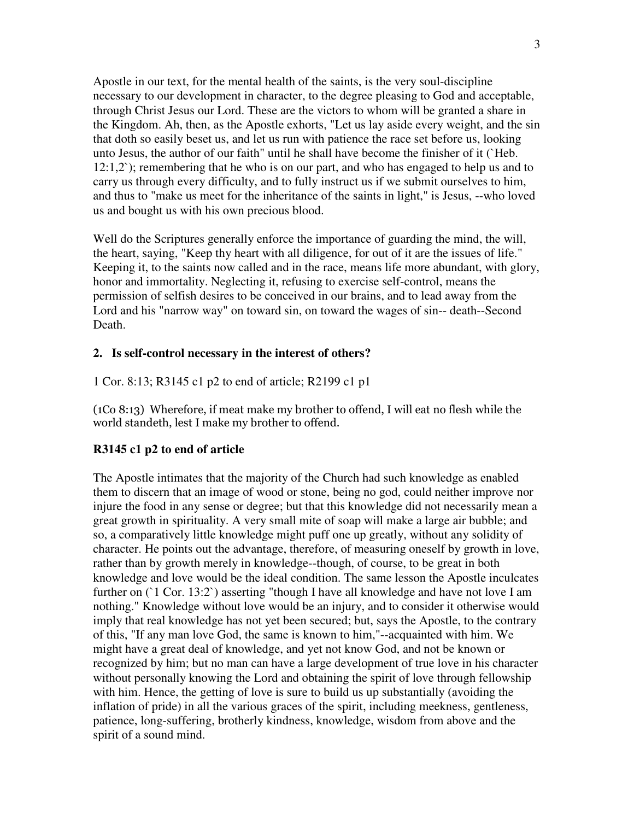Apostle in our text, for the mental health of the saints, is the very soul-discipline necessary to our development in character, to the degree pleasing to God and acceptable, through Christ Jesus our Lord. These are the victors to whom will be granted a share in the Kingdom. Ah, then, as the Apostle exhorts, "Let us lay aside every weight, and the sin that doth so easily beset us, and let us run with patience the race set before us, looking unto Jesus, the author of our faith" until he shall have become the finisher of it (`Heb.  $12:1,2$ <sup>o</sup>; remembering that he who is on our part, and who has engaged to help us and to carry us through every difficulty, and to fully instruct us if we submit ourselves to him, and thus to "make us meet for the inheritance of the saints in light," is Jesus, --who loved us and bought us with his own precious blood.

Well do the Scriptures generally enforce the importance of guarding the mind, the will, the heart, saying, "Keep thy heart with all diligence, for out of it are the issues of life." Keeping it, to the saints now called and in the race, means life more abundant, with glory, honor and immortality. Neglecting it, refusing to exercise self-control, means the permission of selfish desires to be conceived in our brains, and to lead away from the Lord and his "narrow way" on toward sin, on toward the wages of sin-- death--Second Death.

#### **2. Is self-control necessary in the interest of others?**

1 Cor. 8:13; R3145 c1 p2 to end of article; R2199 c1 p1

 $(1Co 8:13)$  Wherefore, if meat make my brother to offend, I will eat no flesh while the world standeth, lest I make my brother to offend.

#### **R3145 c1 p2 to end of article**

The Apostle intimates that the majority of the Church had such knowledge as enabled them to discern that an image of wood or stone, being no god, could neither improve nor injure the food in any sense or degree; but that this knowledge did not necessarily mean a great growth in spirituality. A very small mite of soap will make a large air bubble; and so, a comparatively little knowledge might puff one up greatly, without any solidity of character. He points out the advantage, therefore, of measuring oneself by growth in love, rather than by growth merely in knowledge--though, of course, to be great in both knowledge and love would be the ideal condition. The same lesson the Apostle inculcates further on  $(1$  Cor. 13:2) asserting "though I have all knowledge and have not love I am nothing." Knowledge without love would be an injury, and to consider it otherwise would imply that real knowledge has not yet been secured; but, says the Apostle, to the contrary of this, "If any man love God, the same is known to him,"--acquainted with him. We might have a great deal of knowledge, and yet not know God, and not be known or recognized by him; but no man can have a large development of true love in his character without personally knowing the Lord and obtaining the spirit of love through fellowship with him. Hence, the getting of love is sure to build us up substantially (avoiding the inflation of pride) in all the various graces of the spirit, including meekness, gentleness, patience, long-suffering, brotherly kindness, knowledge, wisdom from above and the spirit of a sound mind.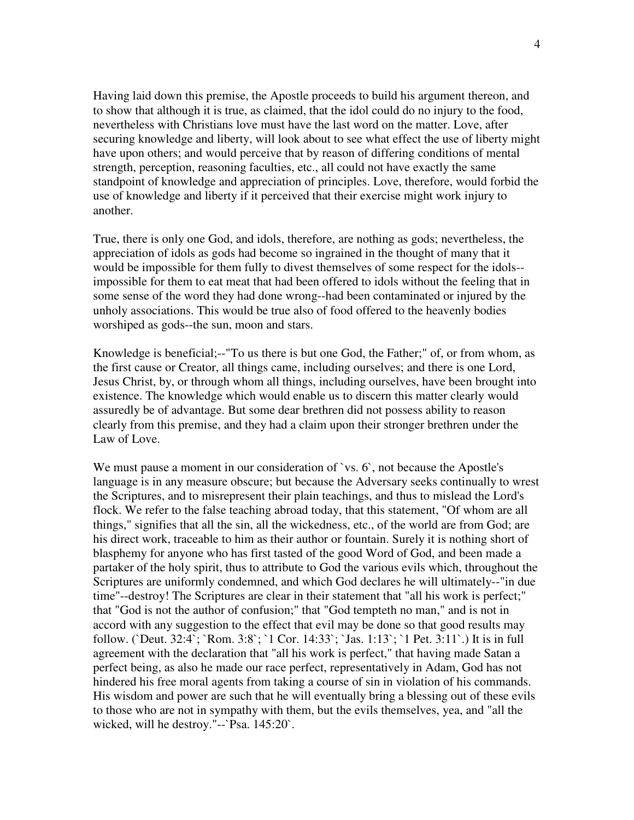Having laid down this premise, the Apostle proceeds to build his argument thereon, and to show that although it is true, as claimed, that the idol could do no injury to the food, nevertheless with Christians love must have the last word on the matter. Love, after securing knowledge and liberty, will look about to see what effect the use of liberty might have upon others; and would perceive that by reason of differing conditions of mental strength, perception, reasoning faculties, etc., all could not have exactly the same standpoint of knowledge and appreciation of principles. Love, therefore, would forbid the use of knowledge and liberty if it perceived that their exercise might work injury to another.

True, there is only one God, and idols, therefore, are nothing as gods; nevertheless, the appreciation of idols as gods had become so ingrained in the thought of many that it would be impossible for them fully to divest themselves of some respect for the idols- impossible for them to eat meat that had been offered to idols without the feeling that in some sense of the word they had done wrong--had been contaminated or injured by the unholy associations. This would be true also of food offered to the heavenly bodies worshiped as gods--the sun, moon and stars.

Knowledge is beneficial;--"To us there is but one God, the Father;" of, or from whom, as the first cause or Creator, all things came, including ourselves; and there is one Lord, Jesus Christ, by, or through whom all things, including ourselves, have been brought into existence. The knowledge which would enable us to discern this matter clearly would assuredly be of advantage. But some dear brethren did not possess ability to reason clearly from this premise, and they had a claim upon their stronger brethren under the Law of Love.

We must pause a moment in our consideration of `vs. 6`, not because the Apostle's language is in any measure obscure; but because the Adversary seeks continually to wrest the Scriptures, and to misrepresent their plain teachings, and thus to mislead the Lord's flock. We refer to the false teaching abroad today, that this statement, "Of whom are all things," signifies that all the sin, all the wickedness, etc., of the world are from God; are his direct work, traceable to him as their author or fountain. Surely it is nothing short of blasphemy for anyone who has first tasted of the good Word of God, and been made a partaker of the holy spirit, thus to attribute to God the various evils which, throughout the Scriptures are uniformly condemned, and which God declares he will ultimately--"in due time"--destroy! The Scriptures are clear in their statement that "all his work is perfect;" that "God is not the author of confusion;" that "God tempteth no man," and is not in accord with any suggestion to the effect that evil may be done so that good results may follow. (`Deut. 32:4`; `Rom. 3:8`; `1 Cor. 14:33`; `Jas. 1:13`; `1 Pet. 3:11`.) It is in full agreement with the declaration that "all his work is perfect," that having made Satan a perfect being, as also he made our race perfect, representatively in Adam, God has not hindered his free moral agents from taking a course of sin in violation of his commands. His wisdom and power are such that he will eventually bring a blessing out of these evils to those who are not in sympathy with them, but the evils themselves, yea, and "all the wicked, will he destroy."--`Psa. 145:20`.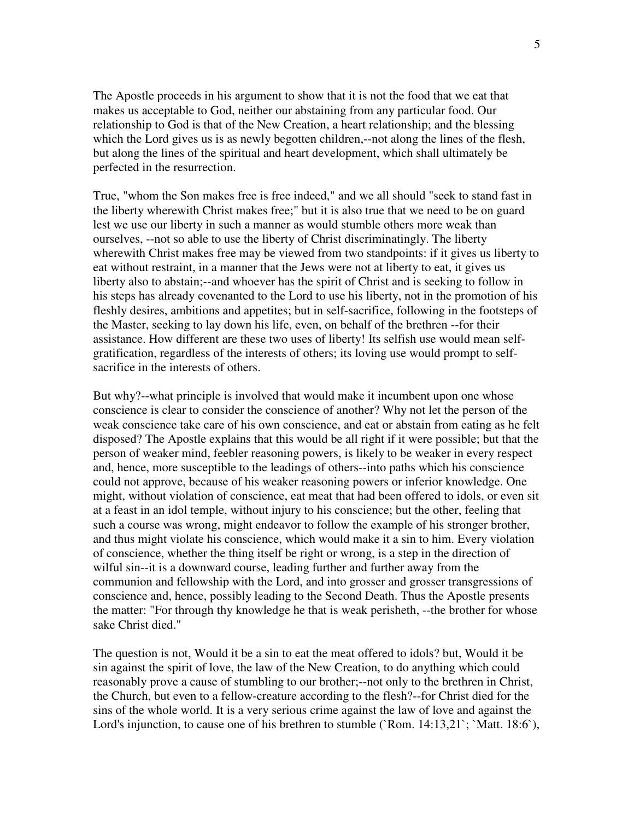The Apostle proceeds in his argument to show that it is not the food that we eat that makes us acceptable to God, neither our abstaining from any particular food. Our relationship to God is that of the New Creation, a heart relationship; and the blessing which the Lord gives us is as newly begotten children,--not along the lines of the flesh, but along the lines of the spiritual and heart development, which shall ultimately be perfected in the resurrection.

True, "whom the Son makes free is free indeed," and we all should "seek to stand fast in the liberty wherewith Christ makes free;" but it is also true that we need to be on guard lest we use our liberty in such a manner as would stumble others more weak than ourselves, --not so able to use the liberty of Christ discriminatingly. The liberty wherewith Christ makes free may be viewed from two standpoints: if it gives us liberty to eat without restraint, in a manner that the Jews were not at liberty to eat, it gives us liberty also to abstain;--and whoever has the spirit of Christ and is seeking to follow in his steps has already covenanted to the Lord to use his liberty, not in the promotion of his fleshly desires, ambitions and appetites; but in self-sacrifice, following in the footsteps of the Master, seeking to lay down his life, even, on behalf of the brethren --for their assistance. How different are these two uses of liberty! Its selfish use would mean selfgratification, regardless of the interests of others; its loving use would prompt to selfsacrifice in the interests of others.

But why?--what principle is involved that would make it incumbent upon one whose conscience is clear to consider the conscience of another? Why not let the person of the weak conscience take care of his own conscience, and eat or abstain from eating as he felt disposed? The Apostle explains that this would be all right if it were possible; but that the person of weaker mind, feebler reasoning powers, is likely to be weaker in every respect and, hence, more susceptible to the leadings of others--into paths which his conscience could not approve, because of his weaker reasoning powers or inferior knowledge. One might, without violation of conscience, eat meat that had been offered to idols, or even sit at a feast in an idol temple, without injury to his conscience; but the other, feeling that such a course was wrong, might endeavor to follow the example of his stronger brother, and thus might violate his conscience, which would make it a sin to him. Every violation of conscience, whether the thing itself be right or wrong, is a step in the direction of wilful sin--it is a downward course, leading further and further away from the communion and fellowship with the Lord, and into grosser and grosser transgressions of conscience and, hence, possibly leading to the Second Death. Thus the Apostle presents the matter: "For through thy knowledge he that is weak perisheth, --the brother for whose sake Christ died."

The question is not, Would it be a sin to eat the meat offered to idols? but, Would it be sin against the spirit of love, the law of the New Creation, to do anything which could reasonably prove a cause of stumbling to our brother;--not only to the brethren in Christ, the Church, but even to a fellow-creature according to the flesh?--for Christ died for the sins of the whole world. It is a very serious crime against the law of love and against the Lord's injunction, to cause one of his brethren to stumble (`Rom. 14:13,21`; `Matt. 18:6`),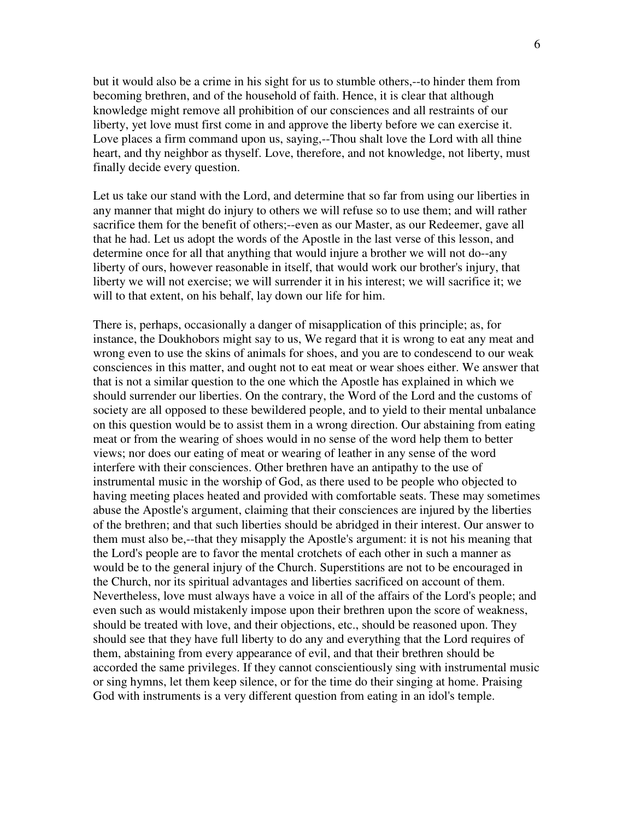but it would also be a crime in his sight for us to stumble others,--to hinder them from becoming brethren, and of the household of faith. Hence, it is clear that although knowledge might remove all prohibition of our consciences and all restraints of our liberty, yet love must first come in and approve the liberty before we can exercise it. Love places a firm command upon us, saying,--Thou shalt love the Lord with all thine heart, and thy neighbor as thyself. Love, therefore, and not knowledge, not liberty, must finally decide every question.

Let us take our stand with the Lord, and determine that so far from using our liberties in any manner that might do injury to others we will refuse so to use them; and will rather sacrifice them for the benefit of others;--even as our Master, as our Redeemer, gave all that he had. Let us adopt the words of the Apostle in the last verse of this lesson, and determine once for all that anything that would injure a brother we will not do--any liberty of ours, however reasonable in itself, that would work our brother's injury, that liberty we will not exercise; we will surrender it in his interest; we will sacrifice it; we will to that extent, on his behalf, lay down our life for him.

There is, perhaps, occasionally a danger of misapplication of this principle; as, for instance, the Doukhobors might say to us, We regard that it is wrong to eat any meat and wrong even to use the skins of animals for shoes, and you are to condescend to our weak consciences in this matter, and ought not to eat meat or wear shoes either. We answer that that is not a similar question to the one which the Apostle has explained in which we should surrender our liberties. On the contrary, the Word of the Lord and the customs of society are all opposed to these bewildered people, and to yield to their mental unbalance on this question would be to assist them in a wrong direction. Our abstaining from eating meat or from the wearing of shoes would in no sense of the word help them to better views; nor does our eating of meat or wearing of leather in any sense of the word interfere with their consciences. Other brethren have an antipathy to the use of instrumental music in the worship of God, as there used to be people who objected to having meeting places heated and provided with comfortable seats. These may sometimes abuse the Apostle's argument, claiming that their consciences are injured by the liberties of the brethren; and that such liberties should be abridged in their interest. Our answer to them must also be,--that they misapply the Apostle's argument: it is not his meaning that the Lord's people are to favor the mental crotchets of each other in such a manner as would be to the general injury of the Church. Superstitions are not to be encouraged in the Church, nor its spiritual advantages and liberties sacrificed on account of them. Nevertheless, love must always have a voice in all of the affairs of the Lord's people; and even such as would mistakenly impose upon their brethren upon the score of weakness, should be treated with love, and their objections, etc., should be reasoned upon. They should see that they have full liberty to do any and everything that the Lord requires of them, abstaining from every appearance of evil, and that their brethren should be accorded the same privileges. If they cannot conscientiously sing with instrumental music or sing hymns, let them keep silence, or for the time do their singing at home. Praising God with instruments is a very different question from eating in an idol's temple.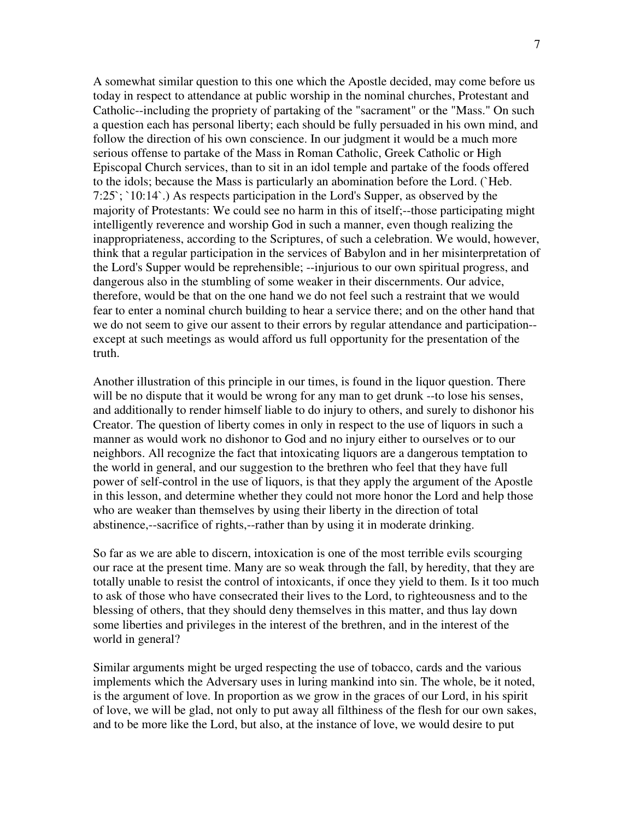A somewhat similar question to this one which the Apostle decided, may come before us today in respect to attendance at public worship in the nominal churches, Protestant and Catholic--including the propriety of partaking of the "sacrament" or the "Mass." On such a question each has personal liberty; each should be fully persuaded in his own mind, and follow the direction of his own conscience. In our judgment it would be a much more serious offense to partake of the Mass in Roman Catholic, Greek Catholic or High Episcopal Church services, than to sit in an idol temple and partake of the foods offered to the idols; because the Mass is particularly an abomination before the Lord. (`Heb.  $7:25$ ;  $10:14$ .) As respects participation in the Lord's Supper, as observed by the majority of Protestants: We could see no harm in this of itself;--those participating might intelligently reverence and worship God in such a manner, even though realizing the inappropriateness, according to the Scriptures, of such a celebration. We would, however, think that a regular participation in the services of Babylon and in her misinterpretation of the Lord's Supper would be reprehensible; --injurious to our own spiritual progress, and dangerous also in the stumbling of some weaker in their discernments. Our advice, therefore, would be that on the one hand we do not feel such a restraint that we would fear to enter a nominal church building to hear a service there; and on the other hand that we do not seem to give our assent to their errors by regular attendance and participation- except at such meetings as would afford us full opportunity for the presentation of the truth.

Another illustration of this principle in our times, is found in the liquor question. There will be no dispute that it would be wrong for any man to get drunk --to lose his senses, and additionally to render himself liable to do injury to others, and surely to dishonor his Creator. The question of liberty comes in only in respect to the use of liquors in such a manner as would work no dishonor to God and no injury either to ourselves or to our neighbors. All recognize the fact that intoxicating liquors are a dangerous temptation to the world in general, and our suggestion to the brethren who feel that they have full power of self-control in the use of liquors, is that they apply the argument of the Apostle in this lesson, and determine whether they could not more honor the Lord and help those who are weaker than themselves by using their liberty in the direction of total abstinence,--sacrifice of rights,--rather than by using it in moderate drinking.

So far as we are able to discern, intoxication is one of the most terrible evils scourging our race at the present time. Many are so weak through the fall, by heredity, that they are totally unable to resist the control of intoxicants, if once they yield to them. Is it too much to ask of those who have consecrated their lives to the Lord, to righteousness and to the blessing of others, that they should deny themselves in this matter, and thus lay down some liberties and privileges in the interest of the brethren, and in the interest of the world in general?

Similar arguments might be urged respecting the use of tobacco, cards and the various implements which the Adversary uses in luring mankind into sin. The whole, be it noted, is the argument of love. In proportion as we grow in the graces of our Lord, in his spirit of love, we will be glad, not only to put away all filthiness of the flesh for our own sakes, and to be more like the Lord, but also, at the instance of love, we would desire to put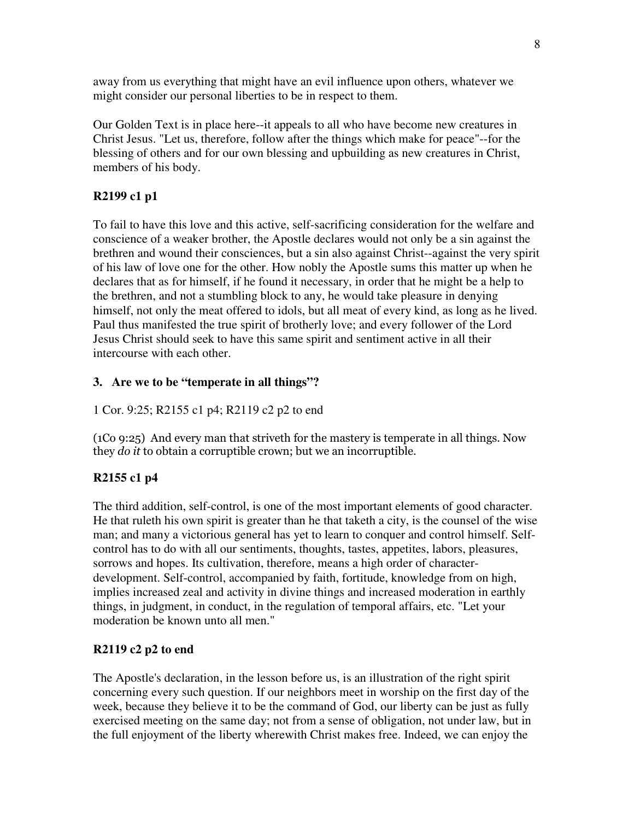away from us everything that might have an evil influence upon others, whatever we might consider our personal liberties to be in respect to them.

Our Golden Text is in place here--it appeals to all who have become new creatures in Christ Jesus. "Let us, therefore, follow after the things which make for peace"--for the blessing of others and for our own blessing and upbuilding as new creatures in Christ, members of his body.

## **R2199 c1 p1**

To fail to have this love and this active, self-sacrificing consideration for the welfare and conscience of a weaker brother, the Apostle declares would not only be a sin against the brethren and wound their consciences, but a sin also against Christ--against the very spirit of his law of love one for the other. How nobly the Apostle sums this matter up when he declares that as for himself, if he found it necessary, in order that he might be a help to the brethren, and not a stumbling block to any, he would take pleasure in denying himself, not only the meat offered to idols, but all meat of every kind, as long as he lived. Paul thus manifested the true spirit of brotherly love; and every follower of the Lord Jesus Christ should seek to have this same spirit and sentiment active in all their intercourse with each other.

## **3. Are we to be "temperate in all things"?**

## 1 Cor. 9:25; R2155 c1 p4; R2119 c2 p2 to end

 $(1Co 9:25)$  And every man that striveth for the mastery is temperate in all things. Now they *do it* to obtain a corruptible crown; but we an incorruptible.

## **R2155 c1 p4**

The third addition, self-control, is one of the most important elements of good character. He that ruleth his own spirit is greater than he that taketh a city, is the counsel of the wise man; and many a victorious general has yet to learn to conquer and control himself. Selfcontrol has to do with all our sentiments, thoughts, tastes, appetites, labors, pleasures, sorrows and hopes. Its cultivation, therefore, means a high order of characterdevelopment. Self-control, accompanied by faith, fortitude, knowledge from on high, implies increased zeal and activity in divine things and increased moderation in earthly things, in judgment, in conduct, in the regulation of temporal affairs, etc. "Let your moderation be known unto all men."

## **R2119 c2 p2 to end**

The Apostle's declaration, in the lesson before us, is an illustration of the right spirit concerning every such question. If our neighbors meet in worship on the first day of the week, because they believe it to be the command of God, our liberty can be just as fully exercised meeting on the same day; not from a sense of obligation, not under law, but in the full enjoyment of the liberty wherewith Christ makes free. Indeed, we can enjoy the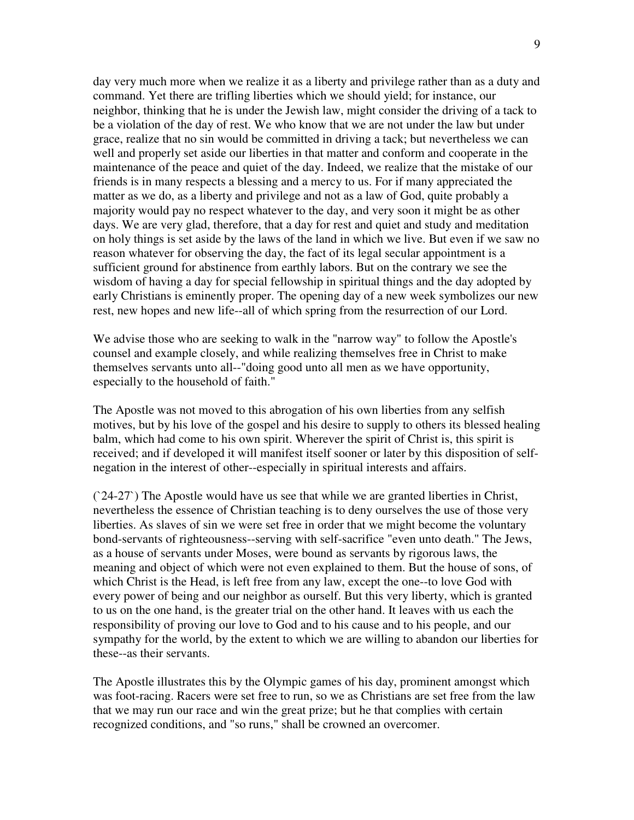day very much more when we realize it as a liberty and privilege rather than as a duty and command. Yet there are trifling liberties which we should yield; for instance, our neighbor, thinking that he is under the Jewish law, might consider the driving of a tack to be a violation of the day of rest. We who know that we are not under the law but under grace, realize that no sin would be committed in driving a tack; but nevertheless we can well and properly set aside our liberties in that matter and conform and cooperate in the maintenance of the peace and quiet of the day. Indeed, we realize that the mistake of our friends is in many respects a blessing and a mercy to us. For if many appreciated the matter as we do, as a liberty and privilege and not as a law of God, quite probably a majority would pay no respect whatever to the day, and very soon it might be as other days. We are very glad, therefore, that a day for rest and quiet and study and meditation on holy things is set aside by the laws of the land in which we live. But even if we saw no reason whatever for observing the day, the fact of its legal secular appointment is a sufficient ground for abstinence from earthly labors. But on the contrary we see the wisdom of having a day for special fellowship in spiritual things and the day adopted by early Christians is eminently proper. The opening day of a new week symbolizes our new rest, new hopes and new life--all of which spring from the resurrection of our Lord.

We advise those who are seeking to walk in the "narrow way" to follow the Apostle's counsel and example closely, and while realizing themselves free in Christ to make themselves servants unto all--"doing good unto all men as we have opportunity, especially to the household of faith."

The Apostle was not moved to this abrogation of his own liberties from any selfish motives, but by his love of the gospel and his desire to supply to others its blessed healing balm, which had come to his own spirit. Wherever the spirit of Christ is, this spirit is received; and if developed it will manifest itself sooner or later by this disposition of selfnegation in the interest of other--especially in spiritual interests and affairs.

(`24-27`) The Apostle would have us see that while we are granted liberties in Christ, nevertheless the essence of Christian teaching is to deny ourselves the use of those very liberties. As slaves of sin we were set free in order that we might become the voluntary bond-servants of righteousness--serving with self-sacrifice "even unto death." The Jews, as a house of servants under Moses, were bound as servants by rigorous laws, the meaning and object of which were not even explained to them. But the house of sons, of which Christ is the Head, is left free from any law, except the one--to love God with every power of being and our neighbor as ourself. But this very liberty, which is granted to us on the one hand, is the greater trial on the other hand. It leaves with us each the responsibility of proving our love to God and to his cause and to his people, and our sympathy for the world, by the extent to which we are willing to abandon our liberties for these--as their servants.

The Apostle illustrates this by the Olympic games of his day, prominent amongst which was foot-racing. Racers were set free to run, so we as Christians are set free from the law that we may run our race and win the great prize; but he that complies with certain recognized conditions, and "so runs," shall be crowned an overcomer.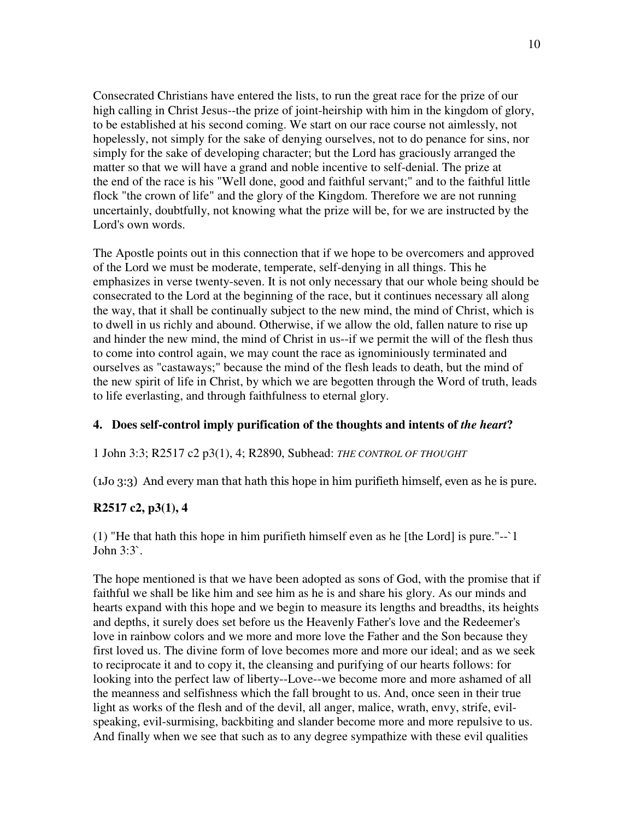Consecrated Christians have entered the lists, to run the great race for the prize of our high calling in Christ Jesus--the prize of joint-heirship with him in the kingdom of glory, to be established at his second coming. We start on our race course not aimlessly, not hopelessly, not simply for the sake of denying ourselves, not to do penance for sins, nor simply for the sake of developing character; but the Lord has graciously arranged the matter so that we will have a grand and noble incentive to self-denial. The prize at the end of the race is his "Well done, good and faithful servant;" and to the faithful little flock "the crown of life" and the glory of the Kingdom. Therefore we are not running uncertainly, doubtfully, not knowing what the prize will be, for we are instructed by the Lord's own words.

The Apostle points out in this connection that if we hope to be overcomers and approved of the Lord we must be moderate, temperate, self-denying in all things. This he emphasizes in verse twenty-seven. It is not only necessary that our whole being should be consecrated to the Lord at the beginning of the race, but it continues necessary all along the way, that it shall be continually subject to the new mind, the mind of Christ, which is to dwell in us richly and abound. Otherwise, if we allow the old, fallen nature to rise up and hinder the new mind, the mind of Christ in us--if we permit the will of the flesh thus to come into control again, we may count the race as ignominiously terminated and ourselves as "castaways;" because the mind of the flesh leads to death, but the mind of the new spirit of life in Christ, by which we are begotten through the Word of truth, leads to life everlasting, and through faithfulness to eternal glory.

## **4. Does self-control imply purification of the thoughts and intents of** *the heart***?**

#### 1 John 3:3; R2517 c2 p3(1), 4; R2890, Subhead: *THE CONTROL OF THOUGHT*

 $(1J<sub>0</sub> 3:3)$  And every man that hath this hope in him purifieth himself, even as he is pure.

## **R2517 c2, p3(1), 4**

(1) "He that hath this hope in him purifieth himself even as he [the Lord] is pure." $-i$ John 3:3`.

The hope mentioned is that we have been adopted as sons of God, with the promise that if faithful we shall be like him and see him as he is and share his glory. As our minds and hearts expand with this hope and we begin to measure its lengths and breadths, its heights and depths, it surely does set before us the Heavenly Father's love and the Redeemer's love in rainbow colors and we more and more love the Father and the Son because they first loved us. The divine form of love becomes more and more our ideal; and as we seek to reciprocate it and to copy it, the cleansing and purifying of our hearts follows: for looking into the perfect law of liberty--Love--we become more and more ashamed of all the meanness and selfishness which the fall brought to us. And, once seen in their true light as works of the flesh and of the devil, all anger, malice, wrath, envy, strife, evilspeaking, evil-surmising, backbiting and slander become more and more repulsive to us. And finally when we see that such as to any degree sympathize with these evil qualities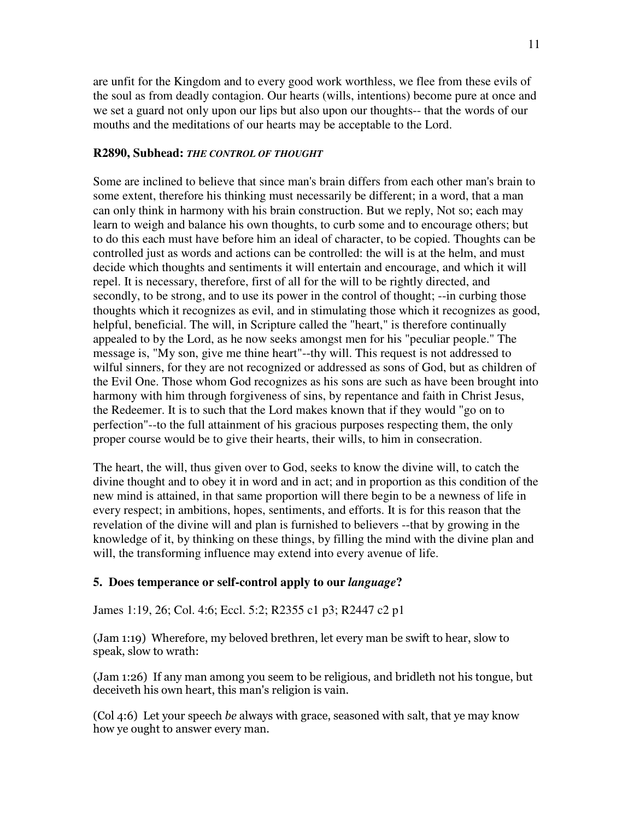are unfit for the Kingdom and to every good work worthless, we flee from these evils of the soul as from deadly contagion. Our hearts (wills, intentions) become pure at once and we set a guard not only upon our lips but also upon our thoughts-- that the words of our mouths and the meditations of our hearts may be acceptable to the Lord.

#### **R2890, Subhead:** *THE CONTROL OF THOUGHT*

Some are inclined to believe that since man's brain differs from each other man's brain to some extent, therefore his thinking must necessarily be different; in a word, that a man can only think in harmony with his brain construction. But we reply, Not so; each may learn to weigh and balance his own thoughts, to curb some and to encourage others; but to do this each must have before him an ideal of character, to be copied. Thoughts can be controlled just as words and actions can be controlled: the will is at the helm, and must decide which thoughts and sentiments it will entertain and encourage, and which it will repel. It is necessary, therefore, first of all for the will to be rightly directed, and secondly, to be strong, and to use its power in the control of thought; --in curbing those thoughts which it recognizes as evil, and in stimulating those which it recognizes as good, helpful, beneficial. The will, in Scripture called the "heart," is therefore continually appealed to by the Lord, as he now seeks amongst men for his "peculiar people." The message is, "My son, give me thine heart"--thy will. This request is not addressed to wilful sinners, for they are not recognized or addressed as sons of God, but as children of the Evil One. Those whom God recognizes as his sons are such as have been brought into harmony with him through forgiveness of sins, by repentance and faith in Christ Jesus, the Redeemer. It is to such that the Lord makes known that if they would "go on to perfection"--to the full attainment of his gracious purposes respecting them, the only proper course would be to give their hearts, their wills, to him in consecration.

The heart, the will, thus given over to God, seeks to know the divine will, to catch the divine thought and to obey it in word and in act; and in proportion as this condition of the new mind is attained, in that same proportion will there begin to be a newness of life in every respect; in ambitions, hopes, sentiments, and efforts. It is for this reason that the revelation of the divine will and plan is furnished to believers --that by growing in the knowledge of it, by thinking on these things, by filling the mind with the divine plan and will, the transforming influence may extend into every avenue of life.

#### **5. Does temperance or self-control apply to our** *language***?**

James 1:19, 26; Col. 4:6; Eccl. 5:2; R2355 c1 p3; R2447 c2 p1

(Jam 1:19) Wherefore, my beloved brethren, let every man be swift to hear, slow to speak, slow to wrath:

(Jam 1:26) If any man among you seem to be religious, and bridleth not his tongue, but deceiveth his own heart, this man's religion is vain.

 $\left(Col\right. 4:6\right)$  Let your speech be always with grace, seasoned with salt, that ye may know how ye ought to answer every man.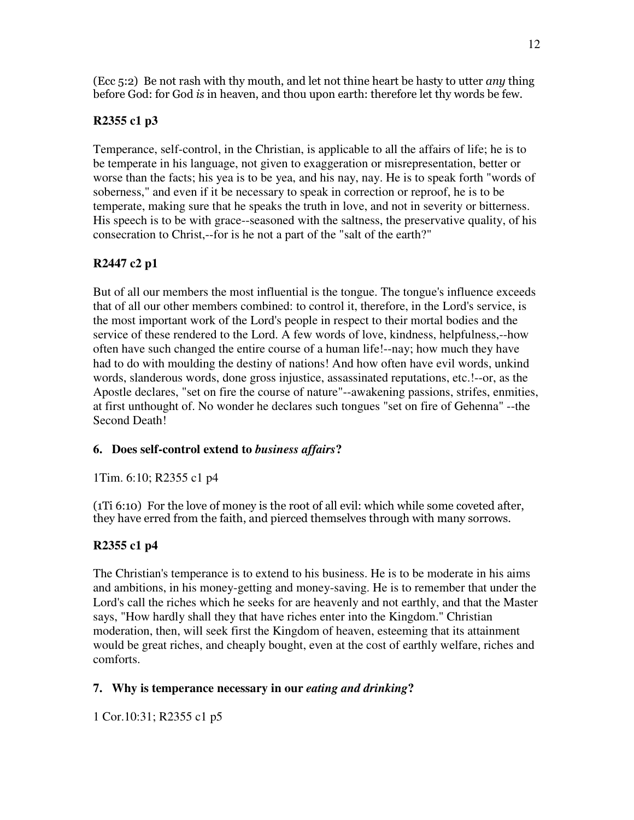(Ecc 5:2) Be not rash with thy mouth, and let not thine heart be hasty to utter *any* thing before God: for God is in heaven, and thou upon earth: therefore let thy words be few.

## **R2355 c1 p3**

Temperance, self-control, in the Christian, is applicable to all the affairs of life; he is to be temperate in his language, not given to exaggeration or misrepresentation, better or worse than the facts; his yea is to be yea, and his nay, nay. He is to speak forth "words of soberness," and even if it be necessary to speak in correction or reproof, he is to be temperate, making sure that he speaks the truth in love, and not in severity or bitterness. His speech is to be with grace--seasoned with the saltness, the preservative quality, of his consecration to Christ,--for is he not a part of the "salt of the earth?"

## **R2447 c2 p1**

But of all our members the most influential is the tongue. The tongue's influence exceeds that of all our other members combined: to control it, therefore, in the Lord's service, is the most important work of the Lord's people in respect to their mortal bodies and the service of these rendered to the Lord. A few words of love, kindness, helpfulness,--how often have such changed the entire course of a human life!--nay; how much they have had to do with moulding the destiny of nations! And how often have evil words, unkind words, slanderous words, done gross injustice, assassinated reputations, etc.!--or, as the Apostle declares, "set on fire the course of nature"--awakening passions, strifes, enmities, at first unthought of. No wonder he declares such tongues "set on fire of Gehenna" --the Second Death!

## **6. Does self-control extend to** *business affairs***?**

1Tim. 6:10; R2355 c1 p4

 $(1Ti 6:10)$  For the love of money is the root of all evil: which while some coveted after, they have erred from the faith, and pierced themselves through with many sorrows.

## **R2355 c1 p4**

The Christian's temperance is to extend to his business. He is to be moderate in his aims and ambitions, in his money-getting and money-saving. He is to remember that under the Lord's call the riches which he seeks for are heavenly and not earthly, and that the Master says, "How hardly shall they that have riches enter into the Kingdom." Christian moderation, then, will seek first the Kingdom of heaven, esteeming that its attainment would be great riches, and cheaply bought, even at the cost of earthly welfare, riches and comforts.

## **7. Why is temperance necessary in our** *eating and drinking***?**

1 Cor.10:31; R2355 c1 p5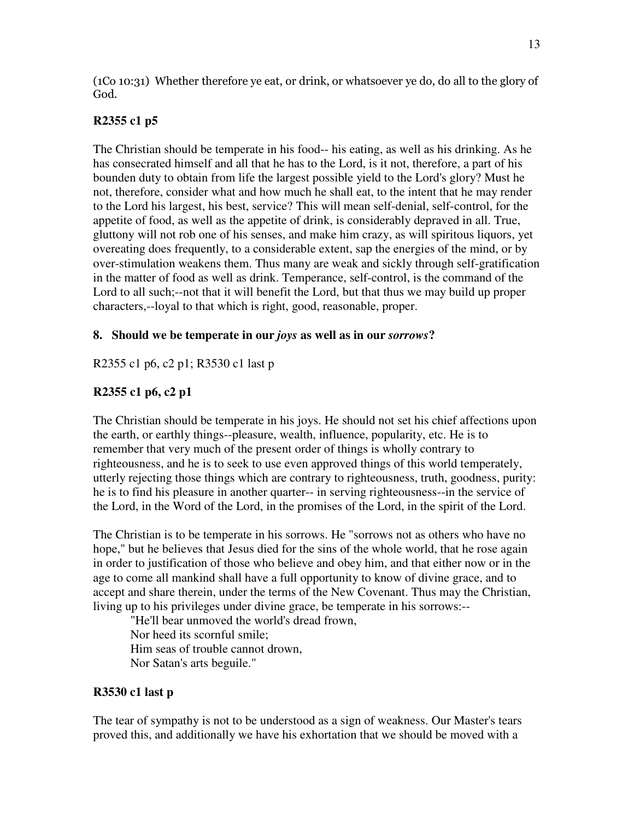(1Co 10:31) Whether therefore ye eat, or drink, or whatsoever ye do, do all to the glory of God.

## **R2355 c1 p5**

The Christian should be temperate in his food-- his eating, as well as his drinking. As he has consecrated himself and all that he has to the Lord, is it not, therefore, a part of his bounden duty to obtain from life the largest possible yield to the Lord's glory? Must he not, therefore, consider what and how much he shall eat, to the intent that he may render to the Lord his largest, his best, service? This will mean self-denial, self-control, for the appetite of food, as well as the appetite of drink, is considerably depraved in all. True, gluttony will not rob one of his senses, and make him crazy, as will spiritous liquors, yet overeating does frequently, to a considerable extent, sap the energies of the mind, or by over-stimulation weakens them. Thus many are weak and sickly through self-gratification in the matter of food as well as drink. Temperance, self-control, is the command of the Lord to all such;--not that it will benefit the Lord, but that thus we may build up proper characters,--loyal to that which is right, good, reasonable, proper.

## **8. Should we be temperate in our** *joys* **as well as in our** *sorrows***?**

R2355 c1 p6, c2 p1; R3530 c1 last p

## **R2355 c1 p6, c2 p1**

The Christian should be temperate in his joys. He should not set his chief affections upon the earth, or earthly things--pleasure, wealth, influence, popularity, etc. He is to remember that very much of the present order of things is wholly contrary to righteousness, and he is to seek to use even approved things of this world temperately, utterly rejecting those things which are contrary to righteousness, truth, goodness, purity: he is to find his pleasure in another quarter-- in serving righteousness--in the service of the Lord, in the Word of the Lord, in the promises of the Lord, in the spirit of the Lord.

The Christian is to be temperate in his sorrows. He "sorrows not as others who have no hope," but he believes that Jesus died for the sins of the whole world, that he rose again in order to justification of those who believe and obey him, and that either now or in the age to come all mankind shall have a full opportunity to know of divine grace, and to accept and share therein, under the terms of the New Covenant. Thus may the Christian, living up to his privileges under divine grace, be temperate in his sorrows:--

"He'll bear unmoved the world's dread frown, Nor heed its scornful smile; Him seas of trouble cannot drown, Nor Satan's arts beguile."

## **R3530 c1 last p**

The tear of sympathy is not to be understood as a sign of weakness. Our Master's tears proved this, and additionally we have his exhortation that we should be moved with a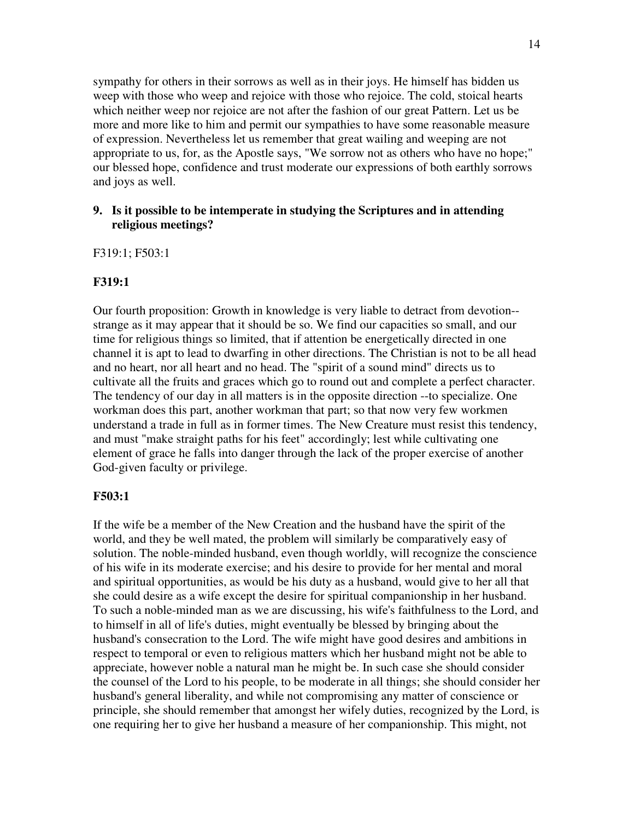sympathy for others in their sorrows as well as in their joys. He himself has bidden us weep with those who weep and rejoice with those who rejoice. The cold, stoical hearts which neither weep nor rejoice are not after the fashion of our great Pattern. Let us be more and more like to him and permit our sympathies to have some reasonable measure of expression. Nevertheless let us remember that great wailing and weeping are not appropriate to us, for, as the Apostle says, "We sorrow not as others who have no hope;" our blessed hope, confidence and trust moderate our expressions of both earthly sorrows and joys as well.

### **9. Is it possible to be intemperate in studying the Scriptures and in attending religious meetings?**

F319:1; F503:1

#### **F319:1**

Our fourth proposition: Growth in knowledge is very liable to detract from devotion- strange as it may appear that it should be so. We find our capacities so small, and our time for religious things so limited, that if attention be energetically directed in one channel it is apt to lead to dwarfing in other directions. The Christian is not to be all head and no heart, nor all heart and no head. The "spirit of a sound mind" directs us to cultivate all the fruits and graces which go to round out and complete a perfect character. The tendency of our day in all matters is in the opposite direction --to specialize. One workman does this part, another workman that part; so that now very few workmen understand a trade in full as in former times. The New Creature must resist this tendency, and must "make straight paths for his feet" accordingly; lest while cultivating one element of grace he falls into danger through the lack of the proper exercise of another God-given faculty or privilege.

#### **F503:1**

If the wife be a member of the New Creation and the husband have the spirit of the world, and they be well mated, the problem will similarly be comparatively easy of solution. The noble-minded husband, even though worldly, will recognize the conscience of his wife in its moderate exercise; and his desire to provide for her mental and moral and spiritual opportunities, as would be his duty as a husband, would give to her all that she could desire as a wife except the desire for spiritual companionship in her husband. To such a noble-minded man as we are discussing, his wife's faithfulness to the Lord, and to himself in all of life's duties, might eventually be blessed by bringing about the husband's consecration to the Lord. The wife might have good desires and ambitions in respect to temporal or even to religious matters which her husband might not be able to appreciate, however noble a natural man he might be. In such case she should consider the counsel of the Lord to his people, to be moderate in all things; she should consider her husband's general liberality, and while not compromising any matter of conscience or principle, she should remember that amongst her wifely duties, recognized by the Lord, is one requiring her to give her husband a measure of her companionship. This might, not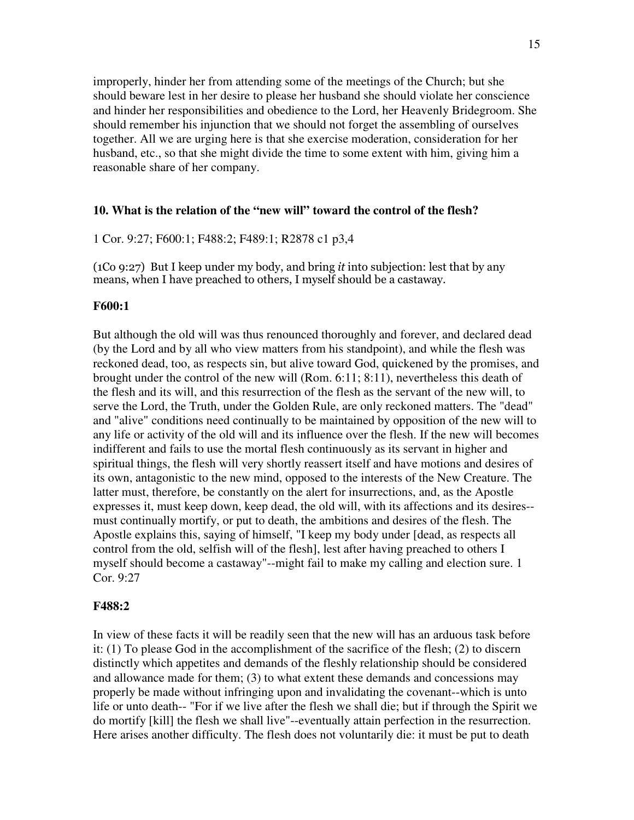improperly, hinder her from attending some of the meetings of the Church; but she should beware lest in her desire to please her husband she should violate her conscience and hinder her responsibilities and obedience to the Lord, her Heavenly Bridegroom. She should remember his injunction that we should not forget the assembling of ourselves together. All we are urging here is that she exercise moderation, consideration for her husband, etc., so that she might divide the time to some extent with him, giving him a reasonable share of her company.

#### **10. What is the relation of the "new will" toward the control of the flesh?**

1 Cor. 9:27; F600:1; F488:2; F489:1; R2878 c1 p3,4

 $(1Co 9:27)$  But I keep under my body, and bring *it* into subjection: lest that by any means, when I have preached to others, I myself should be a castaway.

#### **F600:1**

But although the old will was thus renounced thoroughly and forever, and declared dead (by the Lord and by all who view matters from his standpoint), and while the flesh was reckoned dead, too, as respects sin, but alive toward God, quickened by the promises, and brought under the control of the new will (Rom. 6:11; 8:11), nevertheless this death of the flesh and its will, and this resurrection of the flesh as the servant of the new will, to serve the Lord, the Truth, under the Golden Rule, are only reckoned matters. The "dead" and "alive" conditions need continually to be maintained by opposition of the new will to any life or activity of the old will and its influence over the flesh. If the new will becomes indifferent and fails to use the mortal flesh continuously as its servant in higher and spiritual things, the flesh will very shortly reassert itself and have motions and desires of its own, antagonistic to the new mind, opposed to the interests of the New Creature. The latter must, therefore, be constantly on the alert for insurrections, and, as the Apostle expresses it, must keep down, keep dead, the old will, with its affections and its desires- must continually mortify, or put to death, the ambitions and desires of the flesh. The Apostle explains this, saying of himself, "I keep my body under [dead, as respects all control from the old, selfish will of the flesh], lest after having preached to others I myself should become a castaway"--might fail to make my calling and election sure. 1 Cor. 9:27

#### **F488:2**

In view of these facts it will be readily seen that the new will has an arduous task before it: (1) To please God in the accomplishment of the sacrifice of the flesh; (2) to discern distinctly which appetites and demands of the fleshly relationship should be considered and allowance made for them; (3) to what extent these demands and concessions may properly be made without infringing upon and invalidating the covenant--which is unto life or unto death-- "For if we live after the flesh we shall die; but if through the Spirit we do mortify [kill] the flesh we shall live"--eventually attain perfection in the resurrection. Here arises another difficulty. The flesh does not voluntarily die: it must be put to death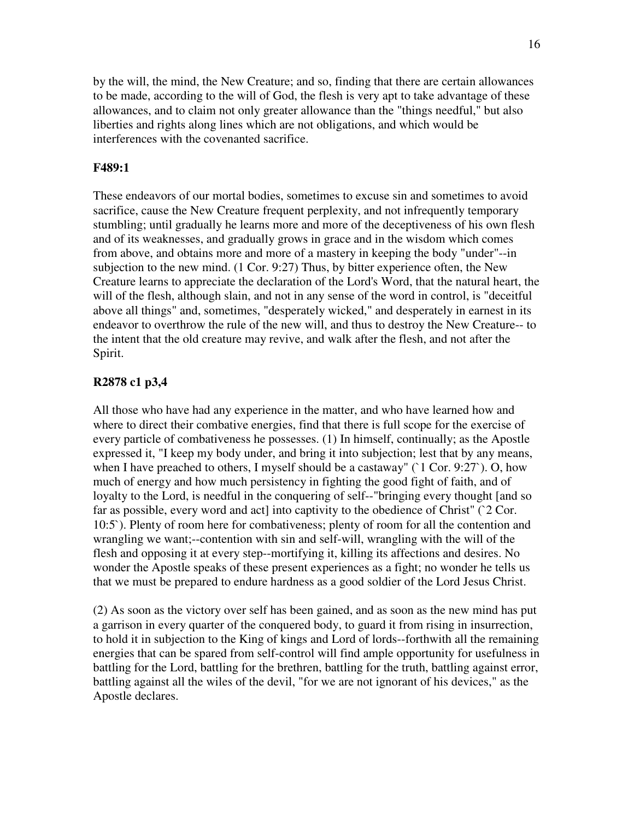by the will, the mind, the New Creature; and so, finding that there are certain allowances to be made, according to the will of God, the flesh is very apt to take advantage of these allowances, and to claim not only greater allowance than the "things needful," but also liberties and rights along lines which are not obligations, and which would be interferences with the covenanted sacrifice.

#### **F489:1**

These endeavors of our mortal bodies, sometimes to excuse sin and sometimes to avoid sacrifice, cause the New Creature frequent perplexity, and not infrequently temporary stumbling; until gradually he learns more and more of the deceptiveness of his own flesh and of its weaknesses, and gradually grows in grace and in the wisdom which comes from above, and obtains more and more of a mastery in keeping the body "under"--in subjection to the new mind. (1 Cor. 9:27) Thus, by bitter experience often, the New Creature learns to appreciate the declaration of the Lord's Word, that the natural heart, the will of the flesh, although slain, and not in any sense of the word in control, is "deceitful above all things" and, sometimes, "desperately wicked," and desperately in earnest in its endeavor to overthrow the rule of the new will, and thus to destroy the New Creature-- to the intent that the old creature may revive, and walk after the flesh, and not after the Spirit.

#### **R2878 c1 p3,4**

All those who have had any experience in the matter, and who have learned how and where to direct their combative energies, find that there is full scope for the exercise of every particle of combativeness he possesses. (1) In himself, continually; as the Apostle expressed it, "I keep my body under, and bring it into subjection; lest that by any means, when I have preached to others, I myself should be a castaway"  $(1 Cor. 9:27)$ . O, how much of energy and how much persistency in fighting the good fight of faith, and of loyalty to the Lord, is needful in the conquering of self--"bringing every thought [and so far as possible, every word and act] into captivity to the obedience of Christ" ( $2$  Cor. 10:5`). Plenty of room here for combativeness; plenty of room for all the contention and wrangling we want;--contention with sin and self-will, wrangling with the will of the flesh and opposing it at every step--mortifying it, killing its affections and desires. No wonder the Apostle speaks of these present experiences as a fight; no wonder he tells us that we must be prepared to endure hardness as a good soldier of the Lord Jesus Christ.

(2) As soon as the victory over self has been gained, and as soon as the new mind has put a garrison in every quarter of the conquered body, to guard it from rising in insurrection, to hold it in subjection to the King of kings and Lord of lords--forthwith all the remaining energies that can be spared from self-control will find ample opportunity for usefulness in battling for the Lord, battling for the brethren, battling for the truth, battling against error, battling against all the wiles of the devil, "for we are not ignorant of his devices," as the Apostle declares.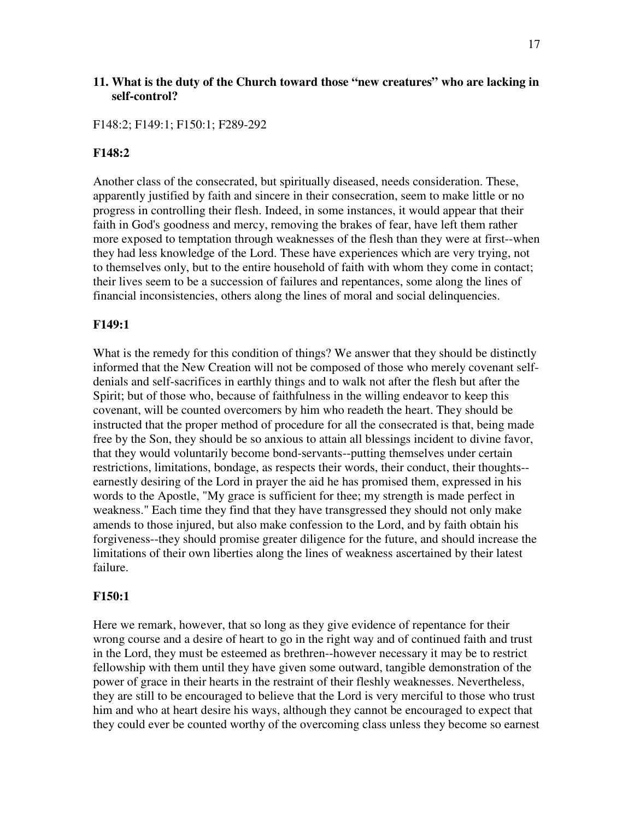### **11. What is the duty of the Church toward those "new creatures" who are lacking in self-control?**

F148:2; F149:1; F150:1; F289-292

#### **F148:2**

Another class of the consecrated, but spiritually diseased, needs consideration. These, apparently justified by faith and sincere in their consecration, seem to make little or no progress in controlling their flesh. Indeed, in some instances, it would appear that their faith in God's goodness and mercy, removing the brakes of fear, have left them rather more exposed to temptation through weaknesses of the flesh than they were at first--when they had less knowledge of the Lord. These have experiences which are very trying, not to themselves only, but to the entire household of faith with whom they come in contact; their lives seem to be a succession of failures and repentances, some along the lines of financial inconsistencies, others along the lines of moral and social delinquencies.

#### **F149:1**

What is the remedy for this condition of things? We answer that they should be distinctly informed that the New Creation will not be composed of those who merely covenant selfdenials and self-sacrifices in earthly things and to walk not after the flesh but after the Spirit; but of those who, because of faithfulness in the willing endeavor to keep this covenant, will be counted overcomers by him who readeth the heart. They should be instructed that the proper method of procedure for all the consecrated is that, being made free by the Son, they should be so anxious to attain all blessings incident to divine favor, that they would voluntarily become bond-servants--putting themselves under certain restrictions, limitations, bondage, as respects their words, their conduct, their thoughts- earnestly desiring of the Lord in prayer the aid he has promised them, expressed in his words to the Apostle, "My grace is sufficient for thee; my strength is made perfect in weakness." Each time they find that they have transgressed they should not only make amends to those injured, but also make confession to the Lord, and by faith obtain his forgiveness--they should promise greater diligence for the future, and should increase the limitations of their own liberties along the lines of weakness ascertained by their latest failure.

#### **F150:1**

Here we remark, however, that so long as they give evidence of repentance for their wrong course and a desire of heart to go in the right way and of continued faith and trust in the Lord, they must be esteemed as brethren--however necessary it may be to restrict fellowship with them until they have given some outward, tangible demonstration of the power of grace in their hearts in the restraint of their fleshly weaknesses. Nevertheless, they are still to be encouraged to believe that the Lord is very merciful to those who trust him and who at heart desire his ways, although they cannot be encouraged to expect that they could ever be counted worthy of the overcoming class unless they become so earnest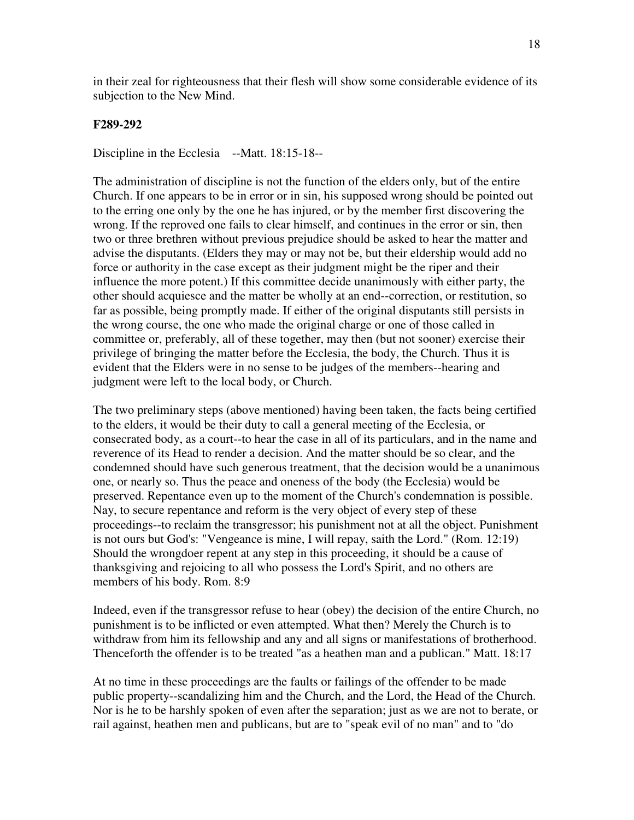in their zeal for righteousness that their flesh will show some considerable evidence of its subjection to the New Mind.

#### **F289-292**

Discipline in the Ecclesia --Matt. 18:15-18--

The administration of discipline is not the function of the elders only, but of the entire Church. If one appears to be in error or in sin, his supposed wrong should be pointed out to the erring one only by the one he has injured, or by the member first discovering the wrong. If the reproved one fails to clear himself, and continues in the error or sin, then two or three brethren without previous prejudice should be asked to hear the matter and advise the disputants. (Elders they may or may not be, but their eldership would add no force or authority in the case except as their judgment might be the riper and their influence the more potent.) If this committee decide unanimously with either party, the other should acquiesce and the matter be wholly at an end--correction, or restitution, so far as possible, being promptly made. If either of the original disputants still persists in the wrong course, the one who made the original charge or one of those called in committee or, preferably, all of these together, may then (but not sooner) exercise their privilege of bringing the matter before the Ecclesia, the body, the Church. Thus it is evident that the Elders were in no sense to be judges of the members--hearing and judgment were left to the local body, or Church.

The two preliminary steps (above mentioned) having been taken, the facts being certified to the elders, it would be their duty to call a general meeting of the Ecclesia, or consecrated body, as a court--to hear the case in all of its particulars, and in the name and reverence of its Head to render a decision. And the matter should be so clear, and the condemned should have such generous treatment, that the decision would be a unanimous one, or nearly so. Thus the peace and oneness of the body (the Ecclesia) would be preserved. Repentance even up to the moment of the Church's condemnation is possible. Nay, to secure repentance and reform is the very object of every step of these proceedings--to reclaim the transgressor; his punishment not at all the object. Punishment is not ours but God's: "Vengeance is mine, I will repay, saith the Lord." (Rom. 12:19) Should the wrongdoer repent at any step in this proceeding, it should be a cause of thanksgiving and rejoicing to all who possess the Lord's Spirit, and no others are members of his body. Rom. 8:9

Indeed, even if the transgressor refuse to hear (obey) the decision of the entire Church, no punishment is to be inflicted or even attempted. What then? Merely the Church is to withdraw from him its fellowship and any and all signs or manifestations of brotherhood. Thenceforth the offender is to be treated "as a heathen man and a publican." Matt. 18:17

At no time in these proceedings are the faults or failings of the offender to be made public property--scandalizing him and the Church, and the Lord, the Head of the Church. Nor is he to be harshly spoken of even after the separation; just as we are not to berate, or rail against, heathen men and publicans, but are to "speak evil of no man" and to "do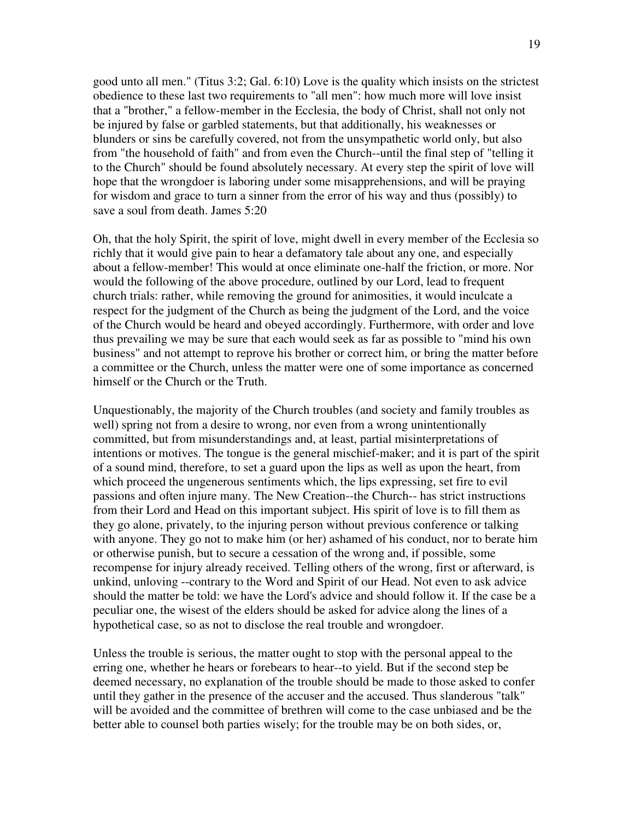good unto all men." (Titus 3:2; Gal. 6:10) Love is the quality which insists on the strictest obedience to these last two requirements to "all men": how much more will love insist that a "brother," a fellow-member in the Ecclesia, the body of Christ, shall not only not be injured by false or garbled statements, but that additionally, his weaknesses or blunders or sins be carefully covered, not from the unsympathetic world only, but also from "the household of faith" and from even the Church--until the final step of "telling it to the Church" should be found absolutely necessary. At every step the spirit of love will hope that the wrongdoer is laboring under some misapprehensions, and will be praying for wisdom and grace to turn a sinner from the error of his way and thus (possibly) to save a soul from death. James 5:20

Oh, that the holy Spirit, the spirit of love, might dwell in every member of the Ecclesia so richly that it would give pain to hear a defamatory tale about any one, and especially about a fellow-member! This would at once eliminate one-half the friction, or more. Nor would the following of the above procedure, outlined by our Lord, lead to frequent church trials: rather, while removing the ground for animosities, it would inculcate a respect for the judgment of the Church as being the judgment of the Lord, and the voice of the Church would be heard and obeyed accordingly. Furthermore, with order and love thus prevailing we may be sure that each would seek as far as possible to "mind his own business" and not attempt to reprove his brother or correct him, or bring the matter before a committee or the Church, unless the matter were one of some importance as concerned himself or the Church or the Truth.

Unquestionably, the majority of the Church troubles (and society and family troubles as well) spring not from a desire to wrong, nor even from a wrong unintentionally committed, but from misunderstandings and, at least, partial misinterpretations of intentions or motives. The tongue is the general mischief-maker; and it is part of the spirit of a sound mind, therefore, to set a guard upon the lips as well as upon the heart, from which proceed the ungenerous sentiments which, the lips expressing, set fire to evil passions and often injure many. The New Creation--the Church-- has strict instructions from their Lord and Head on this important subject. His spirit of love is to fill them as they go alone, privately, to the injuring person without previous conference or talking with anyone. They go not to make him (or her) ashamed of his conduct, nor to berate him or otherwise punish, but to secure a cessation of the wrong and, if possible, some recompense for injury already received. Telling others of the wrong, first or afterward, is unkind, unloving --contrary to the Word and Spirit of our Head. Not even to ask advice should the matter be told: we have the Lord's advice and should follow it. If the case be a peculiar one, the wisest of the elders should be asked for advice along the lines of a hypothetical case, so as not to disclose the real trouble and wrongdoer.

Unless the trouble is serious, the matter ought to stop with the personal appeal to the erring one, whether he hears or forebears to hear--to yield. But if the second step be deemed necessary, no explanation of the trouble should be made to those asked to confer until they gather in the presence of the accuser and the accused. Thus slanderous "talk" will be avoided and the committee of brethren will come to the case unbiased and be the better able to counsel both parties wisely; for the trouble may be on both sides, or,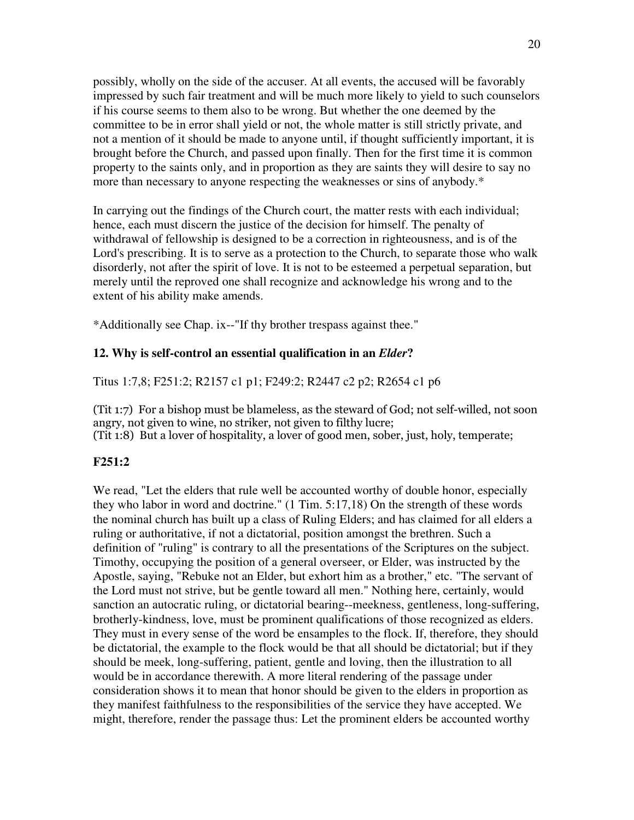possibly, wholly on the side of the accuser. At all events, the accused will be favorably impressed by such fair treatment and will be much more likely to yield to such counselors if his course seems to them also to be wrong. But whether the one deemed by the committee to be in error shall yield or not, the whole matter is still strictly private, and not a mention of it should be made to anyone until, if thought sufficiently important, it is brought before the Church, and passed upon finally. Then for the first time it is common property to the saints only, and in proportion as they are saints they will desire to say no more than necessary to anyone respecting the weaknesses or sins of anybody.\*

In carrying out the findings of the Church court, the matter rests with each individual; hence, each must discern the justice of the decision for himself. The penalty of withdrawal of fellowship is designed to be a correction in righteousness, and is of the Lord's prescribing. It is to serve as a protection to the Church, to separate those who walk disorderly, not after the spirit of love. It is not to be esteemed a perpetual separation, but merely until the reproved one shall recognize and acknowledge his wrong and to the extent of his ability make amends.

\*Additionally see Chap. ix--"If thy brother trespass against thee."

#### **12. Why is self-control an essential qualification in an** *Elder***?**

Titus 1:7,8; F251:2; R2157 c1 p1; F249:2; R2447 c2 p2; R2654 c1 p6

(Tit 1:7) For a bishop must be blameless, as the steward of God; not self-willed, not soon angry, not given to wine, no striker, not given to filthy lucre; (Tit 1:8) But a lover of hospitality, a lover of good men, sober, just, holy, temperate;

#### **F251:2**

We read, "Let the elders that rule well be accounted worthy of double honor, especially they who labor in word and doctrine." (1 Tim. 5:17,18) On the strength of these words the nominal church has built up a class of Ruling Elders; and has claimed for all elders a ruling or authoritative, if not a dictatorial, position amongst the brethren. Such a definition of "ruling" is contrary to all the presentations of the Scriptures on the subject. Timothy, occupying the position of a general overseer, or Elder, was instructed by the Apostle, saying, "Rebuke not an Elder, but exhort him as a brother," etc. "The servant of the Lord must not strive, but be gentle toward all men." Nothing here, certainly, would sanction an autocratic ruling, or dictatorial bearing--meekness, gentleness, long-suffering, brotherly-kindness, love, must be prominent qualifications of those recognized as elders. They must in every sense of the word be ensamples to the flock. If, therefore, they should be dictatorial, the example to the flock would be that all should be dictatorial; but if they should be meek, long-suffering, patient, gentle and loving, then the illustration to all would be in accordance therewith. A more literal rendering of the passage under consideration shows it to mean that honor should be given to the elders in proportion as they manifest faithfulness to the responsibilities of the service they have accepted. We might, therefore, render the passage thus: Let the prominent elders be accounted worthy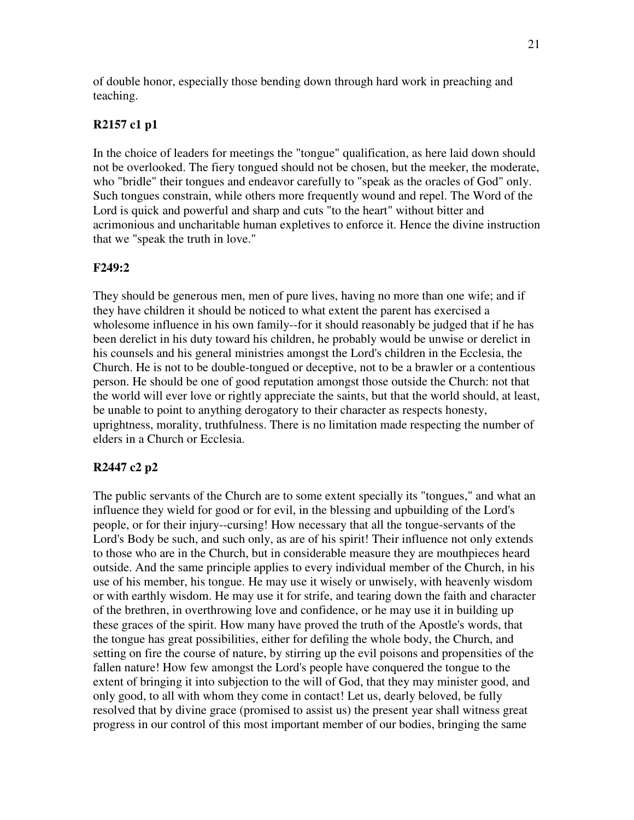of double honor, especially those bending down through hard work in preaching and teaching.

## **R2157 c1 p1**

In the choice of leaders for meetings the "tongue" qualification, as here laid down should not be overlooked. The fiery tongued should not be chosen, but the meeker, the moderate, who "bridle" their tongues and endeavor carefully to "speak as the oracles of God" only. Such tongues constrain, while others more frequently wound and repel. The Word of the Lord is quick and powerful and sharp and cuts "to the heart" without bitter and acrimonious and uncharitable human expletives to enforce it. Hence the divine instruction that we "speak the truth in love."

### **F249:2**

They should be generous men, men of pure lives, having no more than one wife; and if they have children it should be noticed to what extent the parent has exercised a wholesome influence in his own family--for it should reasonably be judged that if he has been derelict in his duty toward his children, he probably would be unwise or derelict in his counsels and his general ministries amongst the Lord's children in the Ecclesia, the Church. He is not to be double-tongued or deceptive, not to be a brawler or a contentious person. He should be one of good reputation amongst those outside the Church: not that the world will ever love or rightly appreciate the saints, but that the world should, at least, be unable to point to anything derogatory to their character as respects honesty, uprightness, morality, truthfulness. There is no limitation made respecting the number of elders in a Church or Ecclesia.

## **R2447 c2 p2**

The public servants of the Church are to some extent specially its "tongues," and what an influence they wield for good or for evil, in the blessing and upbuilding of the Lord's people, or for their injury--cursing! How necessary that all the tongue-servants of the Lord's Body be such, and such only, as are of his spirit! Their influence not only extends to those who are in the Church, but in considerable measure they are mouthpieces heard outside. And the same principle applies to every individual member of the Church, in his use of his member, his tongue. He may use it wisely or unwisely, with heavenly wisdom or with earthly wisdom. He may use it for strife, and tearing down the faith and character of the brethren, in overthrowing love and confidence, or he may use it in building up these graces of the spirit. How many have proved the truth of the Apostle's words, that the tongue has great possibilities, either for defiling the whole body, the Church, and setting on fire the course of nature, by stirring up the evil poisons and propensities of the fallen nature! How few amongst the Lord's people have conquered the tongue to the extent of bringing it into subjection to the will of God, that they may minister good, and only good, to all with whom they come in contact! Let us, dearly beloved, be fully resolved that by divine grace (promised to assist us) the present year shall witness great progress in our control of this most important member of our bodies, bringing the same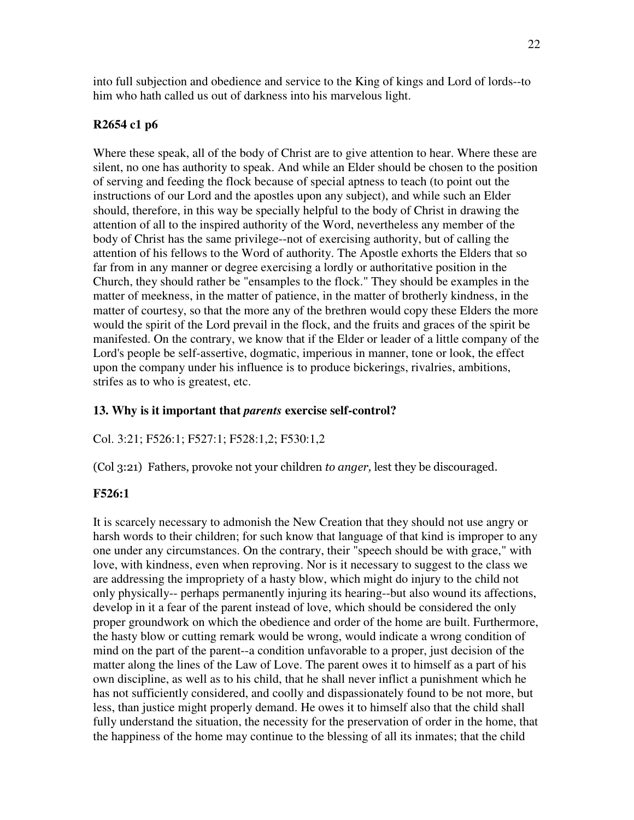into full subjection and obedience and service to the King of kings and Lord of lords--to him who hath called us out of darkness into his marvelous light.

## **R2654 c1 p6**

Where these speak, all of the body of Christ are to give attention to hear. Where these are silent, no one has authority to speak. And while an Elder should be chosen to the position of serving and feeding the flock because of special aptness to teach (to point out the instructions of our Lord and the apostles upon any subject), and while such an Elder should, therefore, in this way be specially helpful to the body of Christ in drawing the attention of all to the inspired authority of the Word, nevertheless any member of the body of Christ has the same privilege--not of exercising authority, but of calling the attention of his fellows to the Word of authority. The Apostle exhorts the Elders that so far from in any manner or degree exercising a lordly or authoritative position in the Church, they should rather be "ensamples to the flock." They should be examples in the matter of meekness, in the matter of patience, in the matter of brotherly kindness, in the matter of courtesy, so that the more any of the brethren would copy these Elders the more would the spirit of the Lord prevail in the flock, and the fruits and graces of the spirit be manifested. On the contrary, we know that if the Elder or leader of a little company of the Lord's people be self-assertive, dogmatic, imperious in manner, tone or look, the effect upon the company under his influence is to produce bickerings, rivalries, ambitions, strifes as to who is greatest, etc.

## **13. Why is it important that** *parents* **exercise self-control?**

Col. 3:21; F526:1; F527:1; F528:1,2; F530:1,2

(Col 3:21) Fathers, provoke not your children to anger, lest they be discouraged.

## **F526:1**

It is scarcely necessary to admonish the New Creation that they should not use angry or harsh words to their children; for such know that language of that kind is improper to any one under any circumstances. On the contrary, their "speech should be with grace," with love, with kindness, even when reproving. Nor is it necessary to suggest to the class we are addressing the impropriety of a hasty blow, which might do injury to the child not only physically-- perhaps permanently injuring its hearing--but also wound its affections, develop in it a fear of the parent instead of love, which should be considered the only proper groundwork on which the obedience and order of the home are built. Furthermore, the hasty blow or cutting remark would be wrong, would indicate a wrong condition of mind on the part of the parent--a condition unfavorable to a proper, just decision of the matter along the lines of the Law of Love. The parent owes it to himself as a part of his own discipline, as well as to his child, that he shall never inflict a punishment which he has not sufficiently considered, and coolly and dispassionately found to be not more, but less, than justice might properly demand. He owes it to himself also that the child shall fully understand the situation, the necessity for the preservation of order in the home, that the happiness of the home may continue to the blessing of all its inmates; that the child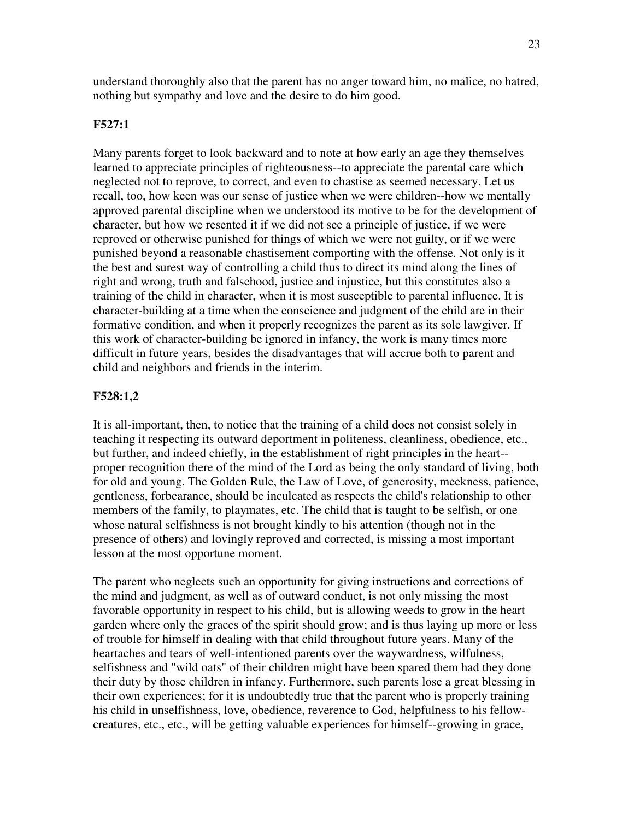understand thoroughly also that the parent has no anger toward him, no malice, no hatred, nothing but sympathy and love and the desire to do him good.

### **F527:1**

Many parents forget to look backward and to note at how early an age they themselves learned to appreciate principles of righteousness--to appreciate the parental care which neglected not to reprove, to correct, and even to chastise as seemed necessary. Let us recall, too, how keen was our sense of justice when we were children--how we mentally approved parental discipline when we understood its motive to be for the development of character, but how we resented it if we did not see a principle of justice, if we were reproved or otherwise punished for things of which we were not guilty, or if we were punished beyond a reasonable chastisement comporting with the offense. Not only is it the best and surest way of controlling a child thus to direct its mind along the lines of right and wrong, truth and falsehood, justice and injustice, but this constitutes also a training of the child in character, when it is most susceptible to parental influence. It is character-building at a time when the conscience and judgment of the child are in their formative condition, and when it properly recognizes the parent as its sole lawgiver. If this work of character-building be ignored in infancy, the work is many times more difficult in future years, besides the disadvantages that will accrue both to parent and child and neighbors and friends in the interim.

### **F528:1,2**

It is all-important, then, to notice that the training of a child does not consist solely in teaching it respecting its outward deportment in politeness, cleanliness, obedience, etc., but further, and indeed chiefly, in the establishment of right principles in the heart- proper recognition there of the mind of the Lord as being the only standard of living, both for old and young. The Golden Rule, the Law of Love, of generosity, meekness, patience, gentleness, forbearance, should be inculcated as respects the child's relationship to other members of the family, to playmates, etc. The child that is taught to be selfish, or one whose natural selfishness is not brought kindly to his attention (though not in the presence of others) and lovingly reproved and corrected, is missing a most important lesson at the most opportune moment.

The parent who neglects such an opportunity for giving instructions and corrections of the mind and judgment, as well as of outward conduct, is not only missing the most favorable opportunity in respect to his child, but is allowing weeds to grow in the heart garden where only the graces of the spirit should grow; and is thus laying up more or less of trouble for himself in dealing with that child throughout future years. Many of the heartaches and tears of well-intentioned parents over the waywardness, wilfulness, selfishness and "wild oats" of their children might have been spared them had they done their duty by those children in infancy. Furthermore, such parents lose a great blessing in their own experiences; for it is undoubtedly true that the parent who is properly training his child in unselfishness, love, obedience, reverence to God, helpfulness to his fellowcreatures, etc., etc., will be getting valuable experiences for himself--growing in grace,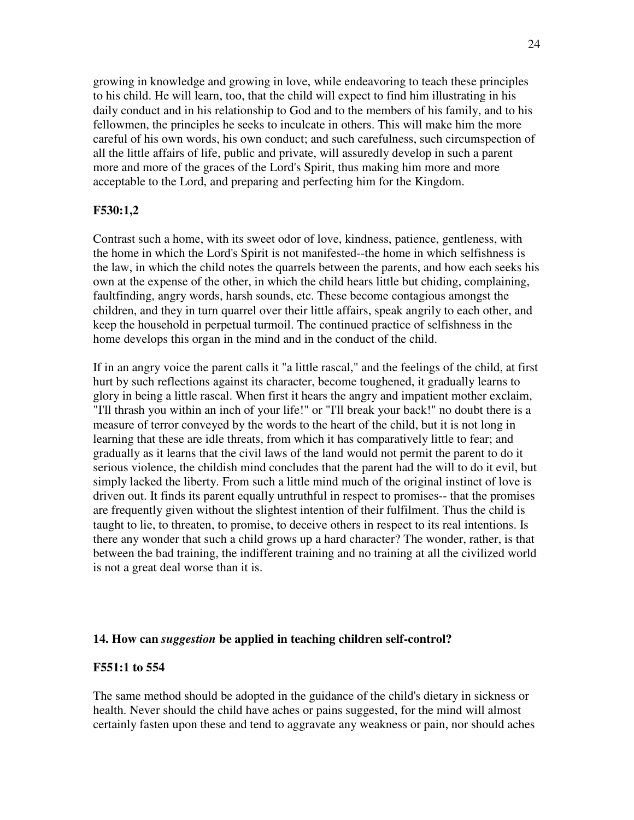growing in knowledge and growing in love, while endeavoring to teach these principles to his child. He will learn, too, that the child will expect to find him illustrating in his daily conduct and in his relationship to God and to the members of his family, and to his fellowmen, the principles he seeks to inculcate in others. This will make him the more careful of his own words, his own conduct; and such carefulness, such circumspection of all the little affairs of life, public and private, will assuredly develop in such a parent more and more of the graces of the Lord's Spirit, thus making him more and more acceptable to the Lord, and preparing and perfecting him for the Kingdom.

#### **F530:1,2**

Contrast such a home, with its sweet odor of love, kindness, patience, gentleness, with the home in which the Lord's Spirit is not manifested--the home in which selfishness is the law, in which the child notes the quarrels between the parents, and how each seeks his own at the expense of the other, in which the child hears little but chiding, complaining, faultfinding, angry words, harsh sounds, etc. These become contagious amongst the children, and they in turn quarrel over their little affairs, speak angrily to each other, and keep the household in perpetual turmoil. The continued practice of selfishness in the home develops this organ in the mind and in the conduct of the child.

If in an angry voice the parent calls it "a little rascal," and the feelings of the child, at first hurt by such reflections against its character, become toughened, it gradually learns to glory in being a little rascal. When first it hears the angry and impatient mother exclaim, "I'll thrash you within an inch of your life!" or "I'll break your back!" no doubt there is a measure of terror conveyed by the words to the heart of the child, but it is not long in learning that these are idle threats, from which it has comparatively little to fear; and gradually as it learns that the civil laws of the land would not permit the parent to do it serious violence, the childish mind concludes that the parent had the will to do it evil, but simply lacked the liberty. From such a little mind much of the original instinct of love is driven out. It finds its parent equally untruthful in respect to promises-- that the promises are frequently given without the slightest intention of their fulfilment. Thus the child is taught to lie, to threaten, to promise, to deceive others in respect to its real intentions. Is there any wonder that such a child grows up a hard character? The wonder, rather, is that between the bad training, the indifferent training and no training at all the civilized world is not a great deal worse than it is.

#### **14. How can** *suggestion* **be applied in teaching children self-control?**

#### **F551:1 to 554**

The same method should be adopted in the guidance of the child's dietary in sickness or health. Never should the child have aches or pains suggested, for the mind will almost certainly fasten upon these and tend to aggravate any weakness or pain, nor should aches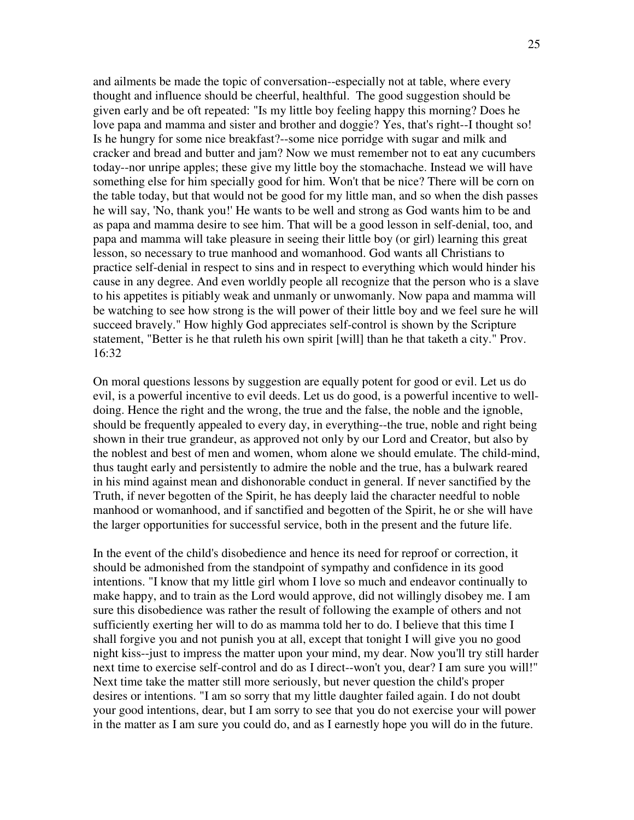and ailments be made the topic of conversation--especially not at table, where every thought and influence should be cheerful, healthful. The good suggestion should be given early and be oft repeated: "Is my little boy feeling happy this morning? Does he love papa and mamma and sister and brother and doggie? Yes, that's right--I thought so! Is he hungry for some nice breakfast?--some nice porridge with sugar and milk and cracker and bread and butter and jam? Now we must remember not to eat any cucumbers today--nor unripe apples; these give my little boy the stomachache. Instead we will have something else for him specially good for him. Won't that be nice? There will be corn on the table today, but that would not be good for my little man, and so when the dish passes he will say, 'No, thank you!'He wants to be well and strong as God wants him to be and as papa and mamma desire to see him. That will be a good lesson in self-denial, too, and papa and mamma will take pleasure in seeing their little boy (or girl) learning this great lesson, so necessary to true manhood and womanhood. God wants all Christians to practice self-denial in respect to sins and in respect to everything which would hinder his cause in any degree. And even worldly people all recognize that the person who is a slave to his appetites is pitiably weak and unmanly or unwomanly. Now papa and mamma will be watching to see how strong is the will power of their little boy and we feel sure he will succeed bravely." How highly God appreciates self-control is shown by the Scripture statement, "Better is he that ruleth his own spirit [will] than he that taketh a city." Prov. 16:32

On moral questions lessons by suggestion are equally potent for good or evil. Let us do evil, is a powerful incentive to evil deeds. Let us do good, is a powerful incentive to welldoing. Hence the right and the wrong, the true and the false, the noble and the ignoble, should be frequently appealed to every day, in everything--the true, noble and right being shown in their true grandeur, as approved not only by our Lord and Creator, but also by the noblest and best of men and women, whom alone we should emulate. The child-mind, thus taught early and persistently to admire the noble and the true, has a bulwark reared in his mind against mean and dishonorable conduct in general. If never sanctified by the Truth, if never begotten of the Spirit, he has deeply laid the character needful to noble manhood or womanhood, and if sanctified and begotten of the Spirit, he or she will have the larger opportunities for successful service, both in the present and the future life.

In the event of the child's disobedience and hence its need for reproof or correction, it should be admonished from the standpoint of sympathy and confidence in its good intentions. "I know that my little girl whom I love so much and endeavor continually to make happy, and to train as the Lord would approve, did not willingly disobey me. I am sure this disobedience was rather the result of following the example of others and not sufficiently exerting her will to do as mamma told her to do. I believe that this time I shall forgive you and not punish you at all, except that tonight I will give you no good night kiss--just to impress the matter upon your mind, my dear. Now you'll try still harder next time to exercise self-control and do as I direct--won't you, dear? I am sure you will!" Next time take the matter still more seriously, but never question the child's proper desires or intentions. "I am so sorry that my little daughter failed again. I do not doubt your good intentions, dear, but I am sorry to see that you do not exercise your will power in the matter as I am sure you could do, and as I earnestly hope you will do in the future.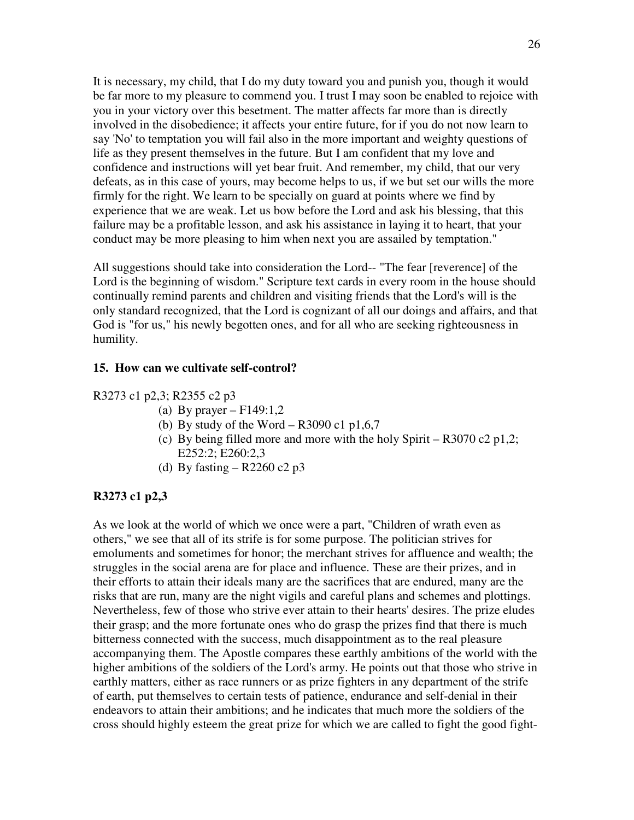It is necessary, my child, that I do my duty toward you and punish you, though it would be far more to my pleasure to commend you. I trust I may soon be enabled to rejoice with you in your victory over this besetment. The matter affects far more than is directly involved in the disobedience; it affects your entire future, for if you do not now learn to say 'No'to temptation you will fail also in the more important and weighty questions of life as they present themselves in the future. But I am confident that my love and confidence and instructions will yet bear fruit. And remember, my child, that our very defeats, as in this case of yours, may become helps to us, if we but set our wills the more firmly for the right. We learn to be specially on guard at points where we find by experience that we are weak. Let us bow before the Lord and ask his blessing, that this failure may be a profitable lesson, and ask his assistance in laying it to heart, that your conduct may be more pleasing to him when next you are assailed by temptation."

All suggestions should take into consideration the Lord-- "The fear [reverence] of the Lord is the beginning of wisdom." Scripture text cards in every room in the house should continually remind parents and children and visiting friends that the Lord's will is the only standard recognized, that the Lord is cognizant of all our doings and affairs, and that God is "for us," his newly begotten ones, and for all who are seeking righteousness in humility.

#### **15. How can we cultivate self-control?**

#### R3273 c1 p2,3; R2355 c2 p3

- (a) By prayer  $F149:1,2$
- (b) By study of the Word R3090 c1 p1,6,7
- (c) By being filled more and more with the holy Spirit R3070 c2 p1,2; E252:2; E260:2,3
- (d) By fasting  $R2260 c2 p3$

#### **R3273 c1 p2,3**

As we look at the world of which we once were a part, "Children of wrath even as others," we see that all of its strife is for some purpose. The politician strives for emoluments and sometimes for honor; the merchant strives for affluence and wealth; the struggles in the social arena are for place and influence. These are their prizes, and in their efforts to attain their ideals many are the sacrifices that are endured, many are the risks that are run, many are the night vigils and careful plans and schemes and plottings. Nevertheless, few of those who strive ever attain to their hearts'desires. The prize eludes their grasp; and the more fortunate ones who do grasp the prizes find that there is much bitterness connected with the success, much disappointment as to the real pleasure accompanying them. The Apostle compares these earthly ambitions of the world with the higher ambitions of the soldiers of the Lord's army. He points out that those who strive in earthly matters, either as race runners or as prize fighters in any department of the strife of earth, put themselves to certain tests of patience, endurance and self-denial in their endeavors to attain their ambitions; and he indicates that much more the soldiers of the cross should highly esteem the great prize for which we are called to fight the good fight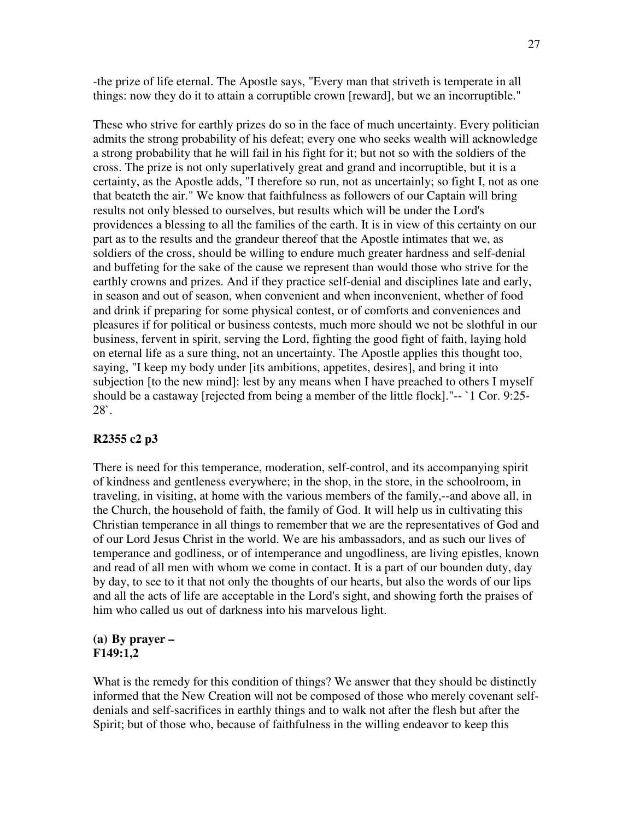-the prize of life eternal. The Apostle says, "Every man that striveth is temperate in all things: now they do it to attain a corruptible crown [reward], but we an incorruptible."

These who strive for earthly prizes do so in the face of much uncertainty. Every politician admits the strong probability of his defeat; every one who seeks wealth will acknowledge a strong probability that he will fail in his fight for it; but not so with the soldiers of the cross. The prize is not only superlatively great and grand and incorruptible, but it is a certainty, as the Apostle adds, "I therefore so run, not as uncertainly; so fight I, not as one that beateth the air." We know that faithfulness as followers of our Captain will bring results not only blessed to ourselves, but results which will be under the Lord's providences a blessing to all the families of the earth. It is in view of this certainty on our part as to the results and the grandeur thereof that the Apostle intimates that we, as soldiers of the cross, should be willing to endure much greater hardness and self-denial and buffeting for the sake of the cause we represent than would those who strive for the earthly crowns and prizes. And if they practice self-denial and disciplines late and early, in season and out of season, when convenient and when inconvenient, whether of food and drink if preparing for some physical contest, or of comforts and conveniences and pleasures if for political or business contests, much more should we not be slothful in our business, fervent in spirit, serving the Lord, fighting the good fight of faith, laying hold on eternal life as a sure thing, not an uncertainty. The Apostle applies this thought too, saying, "I keep my body under [its ambitions, appetites, desires], and bring it into subjection [to the new mind]: lest by any means when I have preached to others I myself should be a castaway [rejected from being a member of the little flock]."-- `1 Cor. 9:25- 28`.

#### **R2355 c2 p3**

There is need for this temperance, moderation, self-control, and its accompanying spirit of kindness and gentleness everywhere; in the shop, in the store, in the schoolroom, in traveling, in visiting, at home with the various members of the family,--and above all, in the Church, the household of faith, the family of God. It will help us in cultivating this Christian temperance in all things to remember that we are the representatives of God and of our Lord Jesus Christ in the world. We are his ambassadors, and as such our lives of temperance and godliness, or of intemperance and ungodliness, are living epistles, known and read of all men with whom we come in contact. It is a part of our bounden duty, day by day, to see to it that not only the thoughts of our hearts, but also the words of our lips and all the acts of life are acceptable in the Lord's sight, and showing forth the praises of him who called us out of darkness into his marvelous light.

#### **(a) By prayer – F149:1,2**

What is the remedy for this condition of things? We answer that they should be distinctly informed that the New Creation will not be composed of those who merely covenant selfdenials and self-sacrifices in earthly things and to walk not after the flesh but after the Spirit; but of those who, because of faithfulness in the willing endeavor to keep this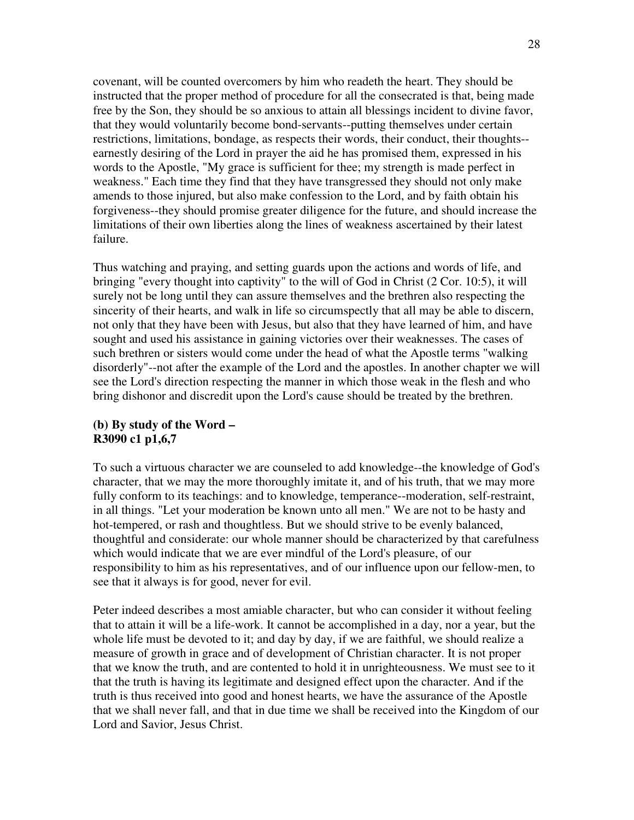covenant, will be counted overcomers by him who readeth the heart. They should be instructed that the proper method of procedure for all the consecrated is that, being made free by the Son, they should be so anxious to attain all blessings incident to divine favor, that they would voluntarily become bond-servants--putting themselves under certain restrictions, limitations, bondage, as respects their words, their conduct, their thoughts- earnestly desiring of the Lord in prayer the aid he has promised them, expressed in his words to the Apostle, "My grace is sufficient for thee; my strength is made perfect in weakness." Each time they find that they have transgressed they should not only make amends to those injured, but also make confession to the Lord, and by faith obtain his forgiveness--they should promise greater diligence for the future, and should increase the limitations of their own liberties along the lines of weakness ascertained by their latest failure.

Thus watching and praying, and setting guards upon the actions and words of life, and bringing "every thought into captivity" to the will of God in Christ (2 Cor. 10:5), it will surely not be long until they can assure themselves and the brethren also respecting the sincerity of their hearts, and walk in life so circumspectly that all may be able to discern, not only that they have been with Jesus, but also that they have learned of him, and have sought and used his assistance in gaining victories over their weaknesses. The cases of such brethren or sisters would come under the head of what the Apostle terms "walking disorderly"--not after the example of the Lord and the apostles. In another chapter we will see the Lord's direction respecting the manner in which those weak in the flesh and who bring dishonor and discredit upon the Lord's cause should be treated by the brethren.

### **(b) By study of the Word – R3090 c1 p1,6,7**

To such a virtuous character we are counseled to add knowledge--the knowledge of God's character, that we may the more thoroughly imitate it, and of his truth, that we may more fully conform to its teachings: and to knowledge, temperance--moderation, self-restraint, in all things. "Let your moderation be known unto all men." We are not to be hasty and hot-tempered, or rash and thoughtless. But we should strive to be evenly balanced, thoughtful and considerate: our whole manner should be characterized by that carefulness which would indicate that we are ever mindful of the Lord's pleasure, of our responsibility to him as his representatives, and of our influence upon our fellow-men, to see that it always is for good, never for evil.

Peter indeed describes a most amiable character, but who can consider it without feeling that to attain it will be a life-work. It cannot be accomplished in a day, nor a year, but the whole life must be devoted to it; and day by day, if we are faithful, we should realize a measure of growth in grace and of development of Christian character. It is not proper that we know the truth, and are contented to hold it in unrighteousness. We must see to it that the truth is having its legitimate and designed effect upon the character. And if the truth is thus received into good and honest hearts, we have the assurance of the Apostle that we shall never fall, and that in due time we shall be received into the Kingdom of our Lord and Savior, Jesus Christ.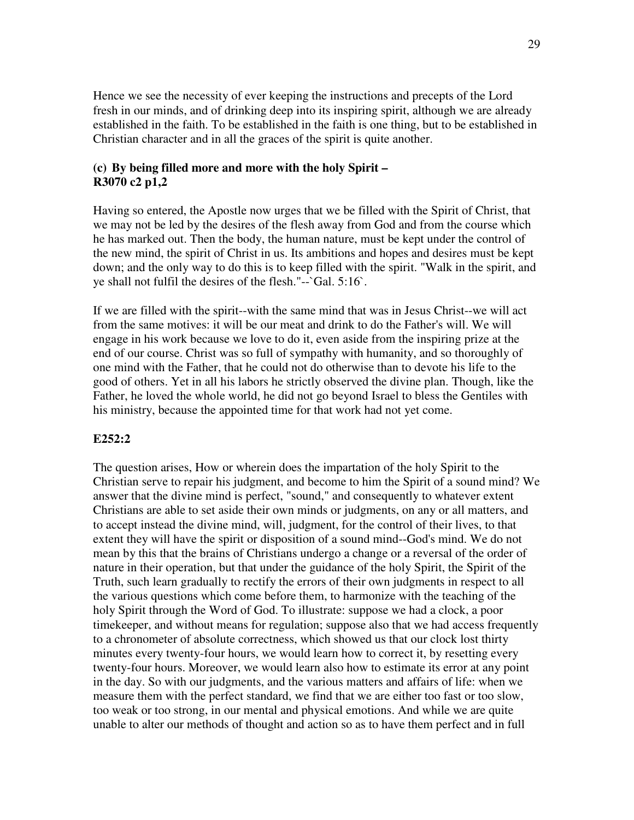Hence we see the necessity of ever keeping the instructions and precepts of the Lord fresh in our minds, and of drinking deep into its inspiring spirit, although we are already established in the faith. To be established in the faith is one thing, but to be established in Christian character and in all the graces of the spirit is quite another.

#### **(c) By being filled more and more with the holy Spirit – R3070 c2 p1,2**

Having so entered, the Apostle now urges that we be filled with the Spirit of Christ, that we may not be led by the desires of the flesh away from God and from the course which he has marked out. Then the body, the human nature, must be kept under the control of the new mind, the spirit of Christ in us. Its ambitions and hopes and desires must be kept down; and the only way to do this is to keep filled with the spirit. "Walk in the spirit, and ye shall not fulfil the desires of the flesh."--`Gal. 5:16`.

If we are filled with the spirit--with the same mind that was in Jesus Christ--we will act from the same motives: it will be our meat and drink to do the Father's will. We will engage in his work because we love to do it, even aside from the inspiring prize at the end of our course. Christ was so full of sympathy with humanity, and so thoroughly of one mind with the Father, that he could not do otherwise than to devote his life to the good of others. Yet in all his labors he strictly observed the divine plan. Though, like the Father, he loved the whole world, he did not go beyond Israel to bless the Gentiles with his ministry, because the appointed time for that work had not yet come.

#### **E252:2**

The question arises, How or wherein does the impartation of the holy Spirit to the Christian serve to repair his judgment, and become to him the Spirit of a sound mind? We answer that the divine mind is perfect, "sound," and consequently to whatever extent Christians are able to set aside their own minds or judgments, on any or all matters, and to accept instead the divine mind, will, judgment, for the control of their lives, to that extent they will have the spirit or disposition of a sound mind--God's mind. We do not mean by this that the brains of Christians undergo a change or a reversal of the order of nature in their operation, but that under the guidance of the holy Spirit, the Spirit of the Truth, such learn gradually to rectify the errors of their own judgments in respect to all the various questions which come before them, to harmonize with the teaching of the holy Spirit through the Word of God. To illustrate: suppose we had a clock, a poor timekeeper, and without means for regulation; suppose also that we had access frequently to a chronometer of absolute correctness, which showed us that our clock lost thirty minutes every twenty-four hours, we would learn how to correct it, by resetting every twenty-four hours. Moreover, we would learn also how to estimate its error at any point in the day. So with our judgments, and the various matters and affairs of life: when we measure them with the perfect standard, we find that we are either too fast or too slow, too weak or too strong, in our mental and physical emotions. And while we are quite unable to alter our methods of thought and action so as to have them perfect and in full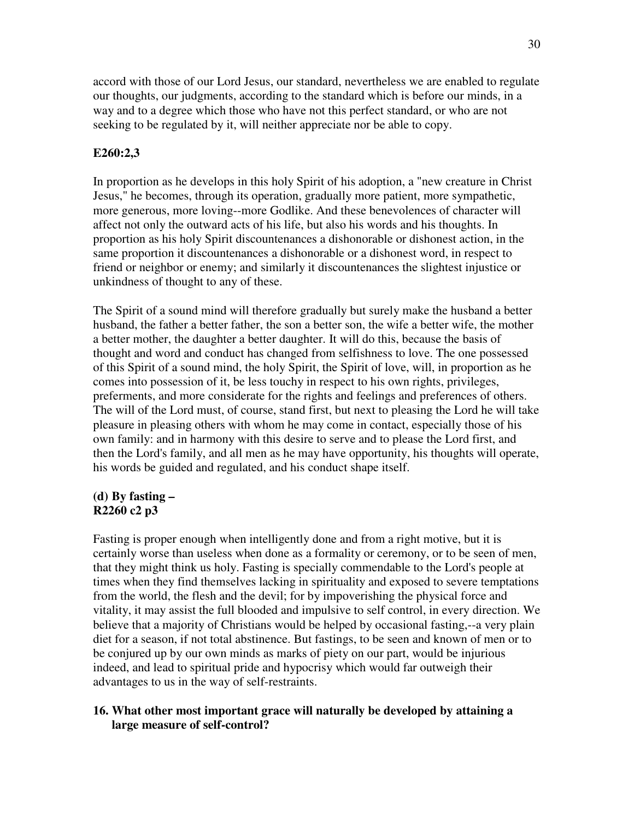accord with those of our Lord Jesus, our standard, nevertheless we are enabled to regulate our thoughts, our judgments, according to the standard which is before our minds, in a way and to a degree which those who have not this perfect standard, or who are not seeking to be regulated by it, will neither appreciate nor be able to copy.

## **E260:2,3**

In proportion as he develops in this holy Spirit of his adoption, a "new creature in Christ Jesus," he becomes, through its operation, gradually more patient, more sympathetic, more generous, more loving--more Godlike. And these benevolences of character will affect not only the outward acts of his life, but also his words and his thoughts. In proportion as his holy Spirit discountenances a dishonorable or dishonest action, in the same proportion it discountenances a dishonorable or a dishonest word, in respect to friend or neighbor or enemy; and similarly it discountenances the slightest injustice or unkindness of thought to any of these.

The Spirit of a sound mind will therefore gradually but surely make the husband a better husband, the father a better father, the son a better son, the wife a better wife, the mother a better mother, the daughter a better daughter. It will do this, because the basis of thought and word and conduct has changed from selfishness to love. The one possessed of this Spirit of a sound mind, the holy Spirit, the Spirit of love, will, in proportion as he comes into possession of it, be less touchy in respect to his own rights, privileges, preferments, and more considerate for the rights and feelings and preferences of others. The will of the Lord must, of course, stand first, but next to pleasing the Lord he will take pleasure in pleasing others with whom he may come in contact, especially those of his own family: and in harmony with this desire to serve and to please the Lord first, and then the Lord's family, and all men as he may have opportunity, his thoughts will operate, his words be guided and regulated, and his conduct shape itself.

## **(d) By fasting – R2260 c2 p3**

Fasting is proper enough when intelligently done and from a right motive, but it is certainly worse than useless when done as a formality or ceremony, or to be seen of men, that they might think us holy. Fasting is specially commendable to the Lord's people at times when they find themselves lacking in spirituality and exposed to severe temptations from the world, the flesh and the devil; for by impoverishing the physical force and vitality, it may assist the full blooded and impulsive to self control, in every direction. We believe that a majority of Christians would be helped by occasional fasting,--a very plain diet for a season, if not total abstinence. But fastings, to be seen and known of men or to be conjured up by our own minds as marks of piety on our part, would be injurious indeed, and lead to spiritual pride and hypocrisy which would far outweigh their advantages to us in the way of self-restraints.

## **16. What other most important grace will naturally be developed by attaining a large measure of self-control?**